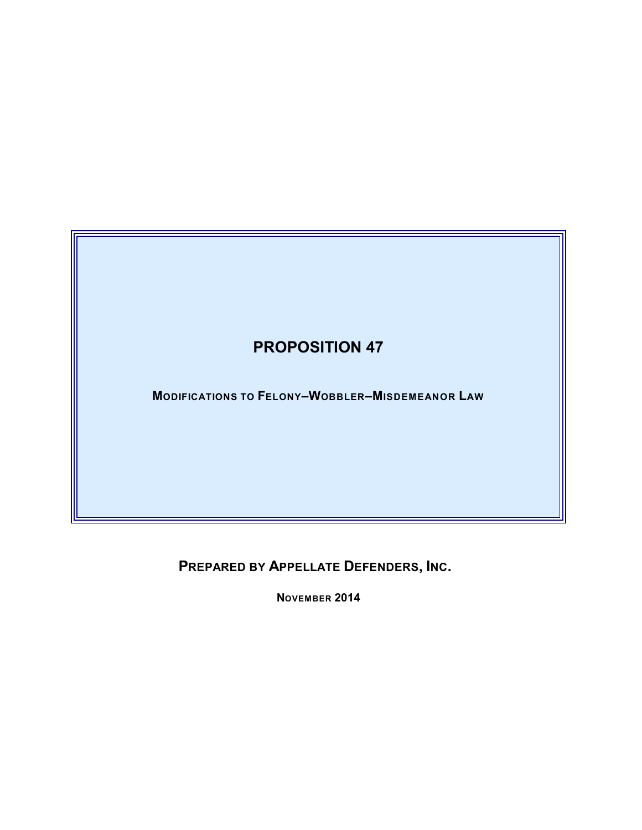

**PREPARED BY APPELLATE DEFENDERS, INC.** 

**NOVEMBER 2014**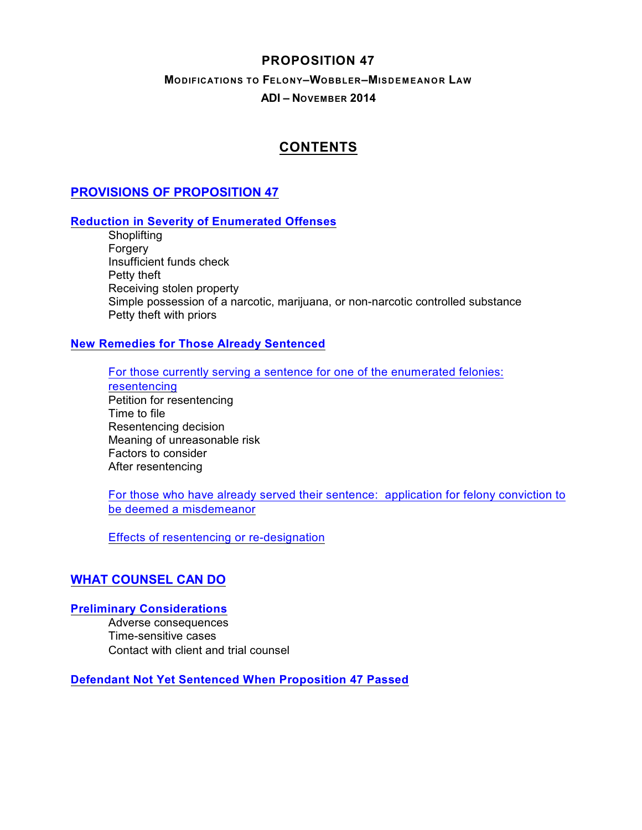## **PROPOSITION 47**

### **MODIFICATIONS TO FELONY–WOBBLER–MISDEM EANOR LAW ADI – NOVEMBER 2014**

# <span id="page-1-0"></span>**CONTENTS**

# **[PROVISIONS OF PROPOSITION 47](#page-3-0)**

### **[Reduction in Severity of Enumerated Offenses](#page-3-1)**

**Shoplifting** Forgery Insufficient funds check Petty theft Receiving stolen property Simple possession of a narcotic, marijuana, or non-narcotic controlled substance Petty theft with priors

### **[New Remedies for Those Already Sentenced](#page-5-0)**

[For those currently serving a sentence for one of the enumerated felonies:](#page-5-1)

[resentencing](#page-5-1) Petition for resentencing Time to file Resentencing decision Meaning of unreasonable risk Factors to consider After resentencing

[For those who have already served their sentence: application for felony conviction to](#page-6-0) [be deemed a misdemeanor](#page-6-0)

[Effects of resentencing or re-designation](#page-6-1)

### **[WHAT COUNSEL CAN DO](#page-7-0)**

### **[Preliminary Considerations](#page-7-1)**

Adverse consequences Time-sensitive cases Contact with client and trial counsel

**[Defendant Not Yet Sentenced When Proposition 47 Passed](#page-7-2)**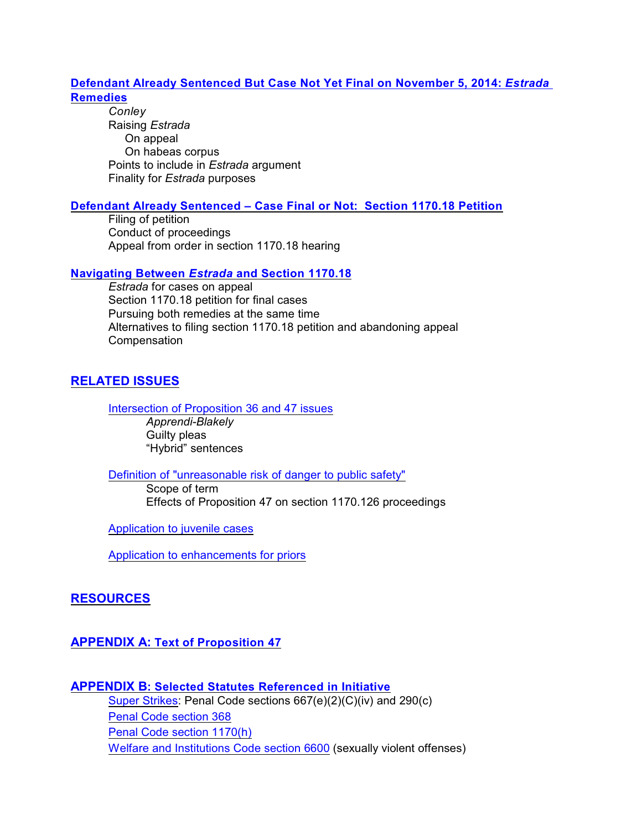### **[Defendant Already Sentenced But Case Not Yet Final on November 5, 2014:](#page-8-0)** *Estrada*  **[Remedies](#page-8-0)**

*Conley* Raising *Estrada* On appeal On habeas corpus Points to include in *Estrada* argument Finality for *Estrada* purposes

#### **[Defendant Already Sentenced – Case Final or Not: Section 1170.18 Petition](#page-10-0)**

Filing of petition Conduct of proceedings Appeal from order in section 1170.18 hearing

#### **Navigating Between** *Estrada* **[and Section 1170.18](#page-12-0)**

*Estrada* for cases on appeal Section 1170.18 petition for final cases Pursuing both remedies at the same time Alternatives to filing section 1170.18 petition and abandoning appeal Compensation

### **[RELATED ISSUES](#page-14-0)**

[Intersection of Proposition 36 and 47 issues](#page-14-1)

*Apprendi-Blakely* Guilty pleas "Hybrid" sentences

[Definition of "unreasonable risk of danger to public safety"](#page-15-0)

Scope of term Effects of Proposition 47 on section 1170.126 proceedings

[Application to juvenile cases](#page-15-1)

[Application to enhancements for priors](#page-16-0)

### **[RESOURCES](#page-16-1)**

### **APPENDIX A: [Text of Proposition 47](#page-18-0)**

## **APPENDIX B[: Selected Statutes Referenced in Initiative](#page-26-0)**  [Super Strikes](#page-26-1): Penal Code sections 667(e)(2)(C)(iv) and 290(c) [Penal Code section 368](#page-27-0) [Penal Code section 1170\(h\)](#page-27-1) [Welfare and Institutions Code section 6600](#page-28-0) (sexually violent offenses)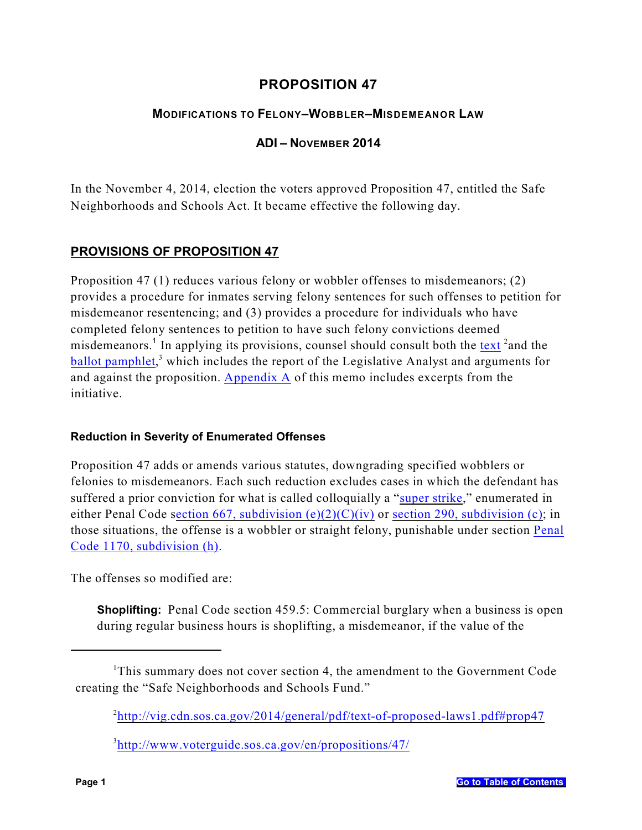# **PROPOSITION 47**

## **MODIFICATIONS TO FELONY–WOBBLER–MISDEMEANOR LAW**

### **ADI – NOVEMBER 2014**

In the November 4, 2014, election the voters approved Proposition 47, entitled the Safe Neighborhoods and Schools Act. It became effective the following day.

# <span id="page-3-0"></span>**PROVISIONS OF PROPOSITION 47**

Proposition 47 (1) reduces various felony or wobbler offenses to misdemeanors; (2) provides a procedure for inmates serving felony sentences for such offenses to petition for misdemeanor resentencing; and (3) provides a procedure for individuals who have completed felony sentences to petition to have such felony convictions deemed misdemeanors.<sup>1</sup> In applying its provisions, counsel should consult both the [text](http://vig.cdn.sos.ca.gov/2014/general/pdf/text-of-proposed-laws1.pdf#prop47) <sup>2</sup> and the  $b$ allot pamphlet,<sup>3</sup> which includes the report of the Legislative Analyst and arguments for and against the proposition. [Appendix A](#page-18-0) of this memo includes excerpts from the initiative.

### <span id="page-3-1"></span>**Reduction in Severity of Enumerated Offenses**

Proposition 47 adds or amends various statutes, downgrading specified wobblers or felonies to misdemeanors. Each such reduction excludes cases in which the defendant has suffered a prior conviction for what is called colloquially a "[super strike](#page-26-1)," enumerated in either Penal Code section 667, subdivision  $(e)(2)(C)(iv)$  or [section 290, subdivision \(c\)](#page-26-3); in those situations, the offense is a wobbler or straight felony, punishable under section [Penal](#page-27-1) [Code 1170, subdivision \(h\)](#page-27-1).

The offenses so modified are:

<span id="page-3-2"></span>**Shoplifting:** Penal Code section 459.5: Commercial burglary when a business is open during regular business hours is shoplifting, a misdemeanor, if the value of the

<sup>&</sup>lt;sup>1</sup>This summary does not cover section 4, the amendment to the Government Code creating the "Safe Neighborhoods and Schools Fund."

<sup>&</sup>lt;sup>2</sup><http://vig.cdn.sos.ca.gov/2014/general/pdf/text-of-proposed-laws1.pdf#prop47>

<sup>3</sup> <http://www.voterguide.sos.ca.gov/en/propositions/47/>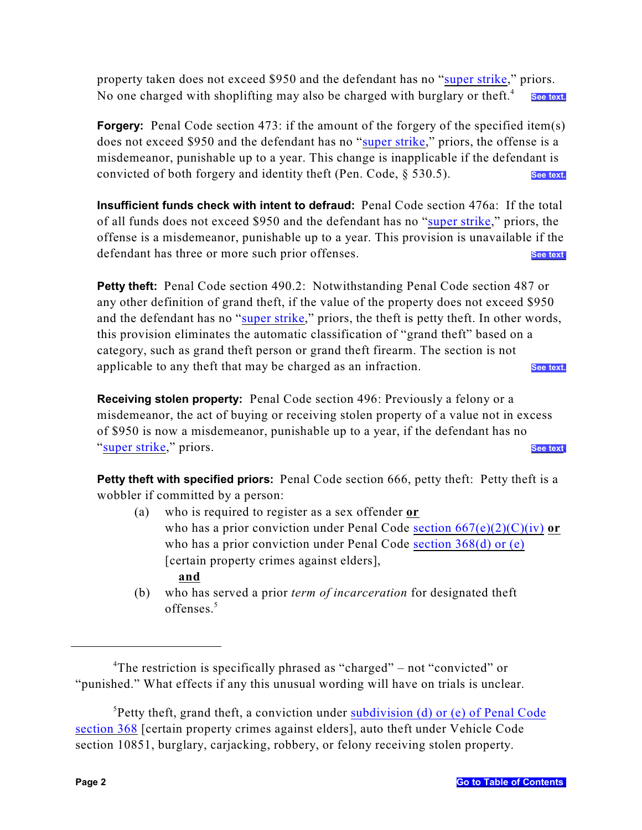property taken does not exceed \$950 and the defendant has no ["super strike](#page-26-1)," priors. No one charged with shoplifting may also be charged with burglary or theft.<sup>4</sup> **[See text.](#page-19-0)**

<span id="page-4-0"></span>**Forgery:** Penal Code section 473: if the amount of the forgery of the specified item(s) does not exceed \$950 and the defendant has no ["super strike](#page-26-1)," priors, the offense is a misdemeanor, punishable up to a year. This change is inapplicable if the defendant is convicted of both forgery and identity theft (Pen. Code, § 530.5). **[See text.](#page-19-1)**

<span id="page-4-1"></span>**Insufficient funds check with intent to defraud:** Penal Code section 476a: If the total of all funds does not exceed \$950 and the defendant has no "[super strike](#page-26-1)," priors, the offense is a misdemeanor, punishable up to a year. This provision is unavailable if the defendant has three or more such prior offenses. [See text.](#page-19-2)

<span id="page-4-2"></span>**Petty theft:** Penal Code section 490.2: Notwithstanding Penal Code section 487 or any other definition of grand theft, if the value of the property does not exceed \$950 and the defendant has no ["super strike](#page-26-1)," priors, the theft is petty theft. In other words, this provision eliminates the automatic classification of "grand theft" based on a category, such as grand theft person or grand theft firearm. The section is not applicable to any theft that may be charged as an infraction. **[See text](#page-20-0)** 

<span id="page-4-3"></span>**Receiving stolen property:** Penal Code section 496: Previously a felony or a misdemeanor, the act of buying or receiving stolen property of a value not in excess of \$950 is now a misdemeanor, punishable up to a year, if the defendant has no "[super strike](#page-26-1)," priors. **[See text](#page-20-1).**

<span id="page-4-4"></span>**Petty theft with specified priors:** Penal Code section 666, petty theft: Petty theft is a wobbler if committed by a person:

- (a) who is required to register as a sex offender **or** who has a prior conviction under Penal Code section  $667(e)(2)(C)(iv)$  or who has a prior conviction under Penal Code [section 368\(d\) or \(e\)](#page-27-0) [certain property crimes against elders],  **and**
- (b) who has served a prior *term of incarceration* for designated theft offenses.<sup>5</sup>

<sup>&</sup>lt;sup>4</sup>The restriction is specifically phrased as "charged" – not "convicted" or "punished." What effects if any this unusual wording will have on trials is unclear.

<sup>&</sup>lt;sup>5</sup>Petty theft, grand theft, a conviction under **subdivision** (d) or (e) of Penal Code [section 368](#page-27-0) [certain property crimes against elders], auto theft under Vehicle Code section 10851, burglary, carjacking, robbery, or felony receiving stolen property.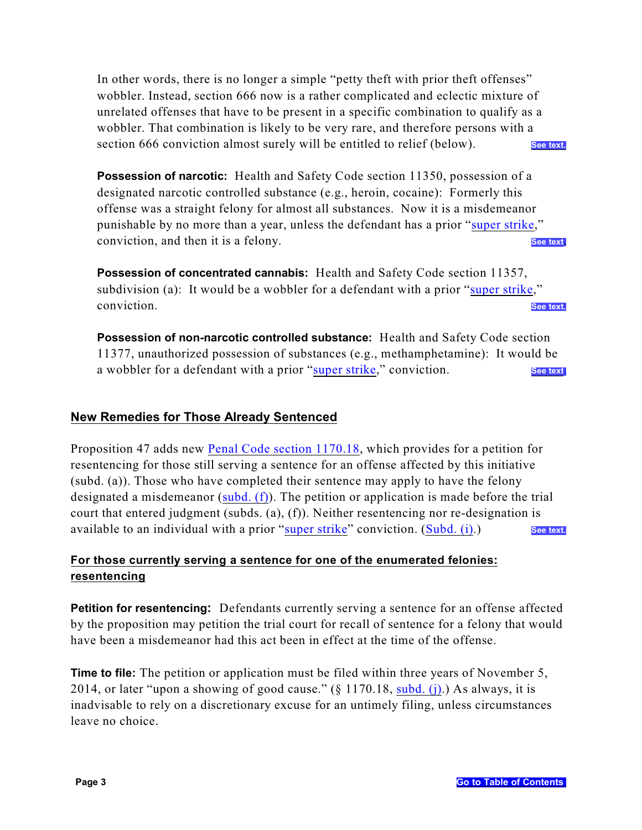In other words, there is no longer a simple "petty theft with prior theft offenses" wobbler. Instead, section 666 now is a rather complicated and eclectic mixture of unrelated offenses that have to be present in a specific combination to qualify as a wobbler. That combination is likely to be very rare, and therefore persons with a section 666 conviction almost surely will be entitled to relief (below). [See text.](#page-21-0)

**Possession of narcotic:** Health and Safety Code section 11350, possession of a designated narcotic controlled substance (e.g., heroin, cocaine): Formerly this offense was a straight felony for almost all substances. Now it is a misdemeanor punishable by no more than a year, unless the defendant has a prior ["super strike](#page-26-1)," conviction, and then it is a felony. **See the set of the set of the set of the set of the see text** 

<span id="page-5-2"></span>**Possession of concentrated cannabis:** Health and Safety Code section 11357, subdivision (a): It would be a wobbler for a defendant with a prior ["super strike](#page-26-1)," conviction. [See text.](#page-22-0)

<span id="page-5-3"></span>**Possession of non-narcotic controlled substance:** Health and Safety Code section 11377, unauthorized possession of substances (e.g., methamphetamine): It would be a wobbler for a defendant with a prior ["super strike](#page-26-1)," conviction. **[See text](#page-22-1)** 

### <span id="page-5-0"></span>**New Remedies for Those Already Sentenced**

Proposition 47 adds new [Penal Code section 1170.18](#page-23-0), which provides for a petition for resentencing for those still serving a sentence for an offense affected by this initiative (subd. (a)). Those who have completed their sentence may apply to have the felony designated a misdemeanor (subd.  $(f)$ ). The petition or application is made before the trial court that entered judgment (subds. (a), (f)). Neither resentencing nor re-designation is available to an individual with a prior ["super strike](#page-26-1)" conviction. ([Subd. \(i\)](#page-24-1).) [See text](#page-23-1).

# <span id="page-5-1"></span>**For those currently serving a sentence for one of the enumerated felonies: resentencing**

**Petition for resentencing:** Defendants currently serving a sentence for an offense affected by the proposition may petition the trial court for recall of sentence for a felony that would have been a misdemeanor had this act been in effect at the time of the offense.

**Time to file:** The petition or application must be filed within three years of November 5, 2014, or later "upon a showing of good cause."  $(\S 1170.18, \text{subd.} (j))$ . As always, it is inadvisable to rely on a discretionary excuse for an untimely filing, unless circumstances leave no choice.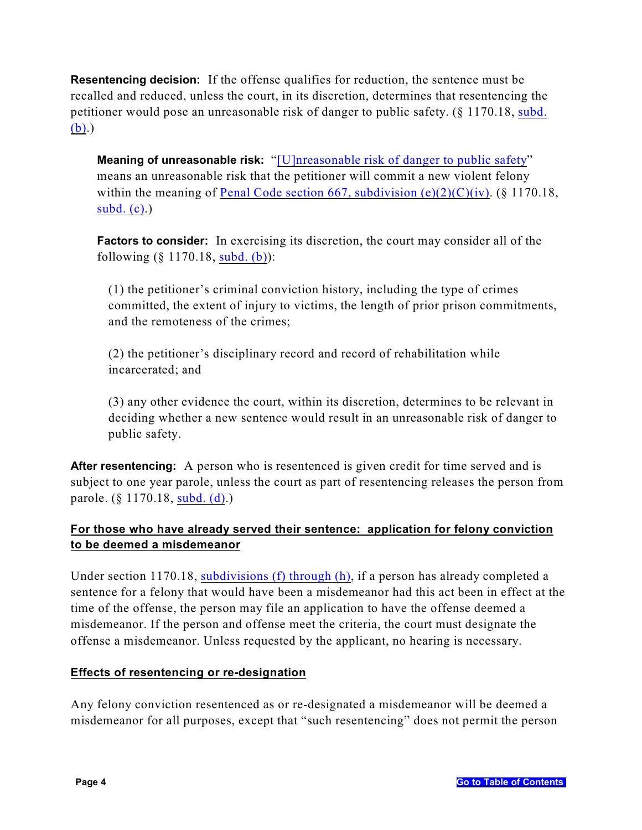**Resentencing decision:** If the offense qualifies for reduction, the sentence must be recalled and reduced, unless the court, in its discretion, determines that resentencing the petitioner would pose an unreasonable risk of danger to public safety. (§ 1170.18, [subd.](#page-23-2) [\(b\)](#page-23-2).)

**Meaning of unreasonable risk:** "[\[U\]nreasonable risk of danger to public safety](#page-23-3)" means an unreasonable risk that the petitioner will commit a new violent felony within the meaning of Penal Code section 667, subdivision  $(e)(2)(C)(iv)$ . (§ 1170.18, subd.  $(c)$ .)

**Factors to consider:** In exercising its discretion, the court may consider all of the following (§ 1170.18, [subd. \(b\)](#page-23-2)):

(1) the petitioner's criminal conviction history, including the type of crimes committed, the extent of injury to victims, the length of prior prison commitments, and the remoteness of the crimes;

(2) the petitioner's disciplinary record and record of rehabilitation while incarcerated; and

(3) any other evidence the court, within its discretion, determines to be relevant in deciding whether a new sentence would result in an unreasonable risk of danger to public safety.

After resentencing: A person who is resentenced is given credit for time served and is subject to one year parole, unless the court as part of resentencing releases the person from parole. (§ 1170.18, [subd. \(d\)](#page-23-5).)

# <span id="page-6-0"></span>**For those who have already served their sentence: application for felony conviction to be deemed a misdemeanor**

Under section 1170.18, [subdivisions \(f\) through \(h\)](#page-24-0), if a person has already completed a sentence for a felony that would have been a misdemeanor had this act been in effect at the time of the offense, the person may file an application to have the offense deemed a misdemeanor. If the person and offense meet the criteria, the court must designate the offense a misdemeanor. Unless requested by the applicant, no hearing is necessary.

### <span id="page-6-1"></span>**Effects of resentencing or re-designation**

Any felony conviction resentenced as or re-designated a misdemeanor will be deemed a misdemeanor for all purposes, except that "such resentencing" does not permit the person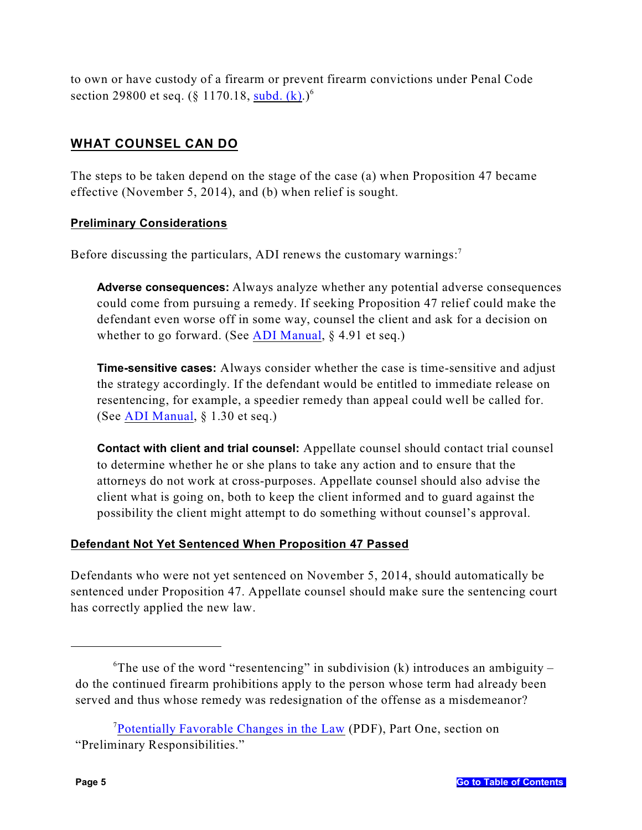to own or have custody of a firearm or prevent firearm convictions under Penal Code section 29800 et seq. (§ 1170.18, [subd. \(k\)](#page-24-3).)<sup>6</sup>

# <span id="page-7-0"></span>**WHAT COUNSEL CAN DO**

The steps to be taken depend on the stage of the case (a) when Proposition 47 became effective (November 5, 2014), and (b) when relief is sought.

### <span id="page-7-1"></span>**Preliminary Considerations**

Before discussing the particulars, ADI renews the customary warnings:<sup>7</sup>

**Adverse consequences:** Always analyze whether any potential adverse consequences could come from pursuing a remedy. If seeking Proposition 47 relief could make the defendant even worse off in some way, counsel the client and ask for a decision on whether to go forward. (See [ADI Manual](http://www.adi-sandiego.com/panel/manual.asp), § 4.91 et seq.)

**Time-sensitive cases:** Always consider whether the case is time-sensitive and adjust the strategy accordingly. If the defendant would be entitled to immediate release on resentencing, for example, a speedier remedy than appeal could well be called for. (See [ADI Manual](http://www.adi-sandiego.com/panel/manual.asp), § 1.30 et seq.)

**Contact with client and trial counsel:** Appellate counsel should contact trial counsel to determine whether he or she plans to take any action and to ensure that the attorneys do not work at cross-purposes. Appellate counsel should also advise the client what is going on, both to keep the client informed and to guard against the possibility the client might attempt to do something without counsel's approval.

# <span id="page-7-2"></span>**Defendant Not Yet Sentenced When Proposition 47 Passed**

Defendants who were not yet sentenced on November 5, 2014, should automatically be sentenced under Proposition 47. Appellate counsel should make sure the sentencing court has correctly applied the new law.

 ${}^6$ The use of the word "resentencing" in subdivision (k) introduces an ambiguity – do the continued firearm prohibitions apply to the person whose term had already been served and thus whose remedy was redesignation of the offense as a misdemeanor?

<sup>&</sup>lt;sup>7</sup>[Potentially Favorable Changes in the Law](http://www.adi-sandiego.com/news_alerts/pdfs/2008/Favorable-changes-11-08.pdf) (PDF), Part One, section on "Preliminary Responsibilities."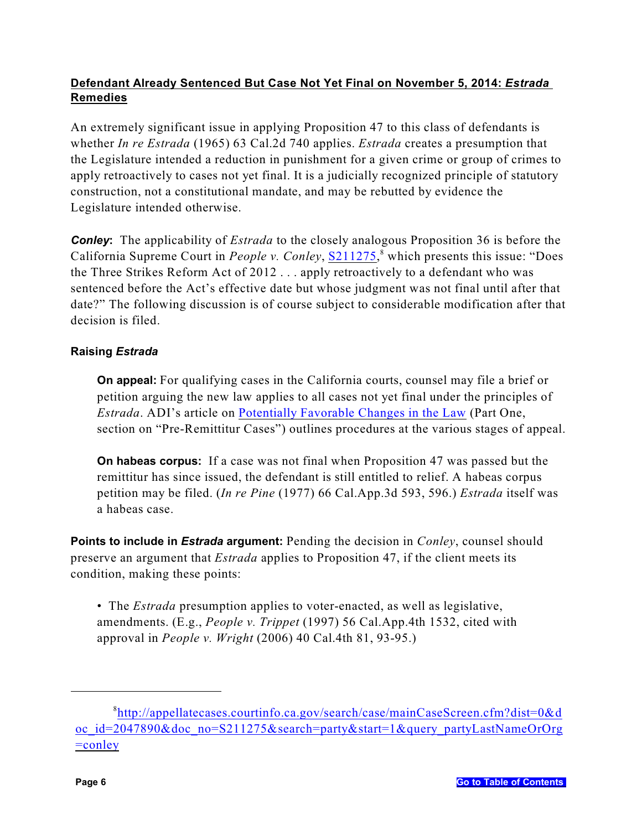# <span id="page-8-0"></span>**Defendant Already Sentenced But Case Not Yet Final on November 5, 2014:** *Estrada*  **Remedies**

<span id="page-8-1"></span>An extremely significant issue in applying Proposition 47 to this class of defendants is whether *In re Estrada* (1965) 63 Cal.2d 740 applies. *Estrada* creates a presumption that the Legislature intended a reduction in punishment for a given crime or group of crimes to apply retroactively to cases not yet final. It is a judicially recognized principle of statutory construction, not a constitutional mandate, and may be rebutted by evidence the Legislature intended otherwise.

**Conley:** The applicability of *Estrada* to the closely analogous Proposition 36 is before the California Supreme Court in *People v. Conley*, [S211275](http://appellatecases.courtinfo.ca.gov/search/case/mainCaseScreen.cfm?dist=0&doc_id=2047890&doc_no=S211275&search=party&start=1&query_partyLastNameOrOrg=conley),<sup>8</sup> which presents this issue: "Does the Three Strikes Reform Act of 2012 . . . apply retroactively to a defendant who was sentenced before the Act's effective date but whose judgment was not final until after that date?" The following discussion is of course subject to considerable modification after that decision is filed.

# **Raising** *Estrada*

**On appeal:** For qualifying cases in the California courts, counsel may file a brief or petition arguing the new law applies to all cases not yet final under the principles of *Estrada*. ADI's article on [Potentially Favorable Changes in the Law](http://www.adi-sandiego.com/pdf_forms/RECENT_CHANGES_Favorable_changes_Feb_2013_EAA.pdf) (Part One, section on "Pre-Remittitur Cases") outlines procedures at the various stages of appeal.

**On habeas corpus:** If a case was not final when Proposition 47 was passed but the remittitur has since issued, the defendant is still entitled to relief. A habeas corpus petition may be filed. (*In re Pine* (1977) 66 Cal.App.3d 593, 596.) *Estrada* itself was a habeas case.

**Points to include in** *Estrada* **argument:** Pending the decision in *Conley*, counsel should preserve an argument that *Estrada* applies to Proposition 47, if the client meets its condition, making these points:

• The *Estrada* presumption applies to voter-enacted, as well as legislative, amendments. (E.g., *People v. Trippet* (1997) 56 Cal.App.4th 1532, cited with approval in *People v. Wright* (2006) 40 Cal.4th 81, 93-95.)

<sup>8</sup> [http://appellatecases.courtinfo.ca.gov/search/case/mainCaseScreen.cfm?dist=0&d](http://appellatecases.courtinfo.ca.gov/search/case/mainCaseScreen.cfm?dist=0&doc_id=2047890&doc_no=S211275&search=party&start=1&query_partyLastNameOrOrg=conley) [oc\\_id=2047890&doc\\_no=S211275&search=party&start=1&query\\_partyLastNameOrOrg](http://appellatecases.courtinfo.ca.gov/search/case/mainCaseScreen.cfm?dist=0&doc_id=2047890&doc_no=S211275&search=party&start=1&query_partyLastNameOrOrg=conley)  $=$ conley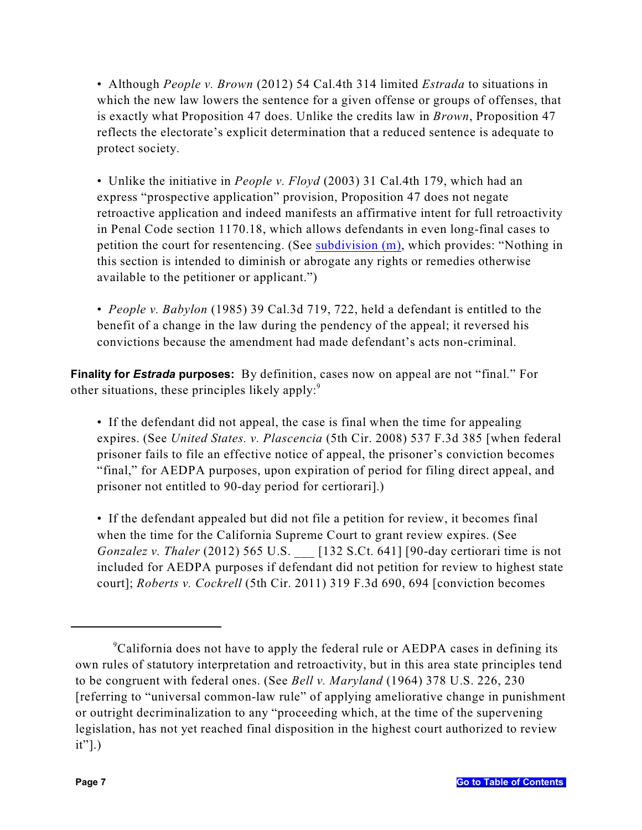• Although *People v. Brown* (2012) 54 Cal.4th 314 limited *Estrada* to situations in which the new law lowers the sentence for a given offense or groups of offenses, that is exactly what Proposition 47 does. Unlike the credits law in *Brown*, Proposition 47 reflects the electorate's explicit determination that a reduced sentence is adequate to protect society.

• Unlike the initiative in *People v. Floyd* (2003) 31 Cal.4th 179, which had an express "prospective application" provision, Proposition 47 does not negate retroactive application and indeed manifests an affirmative intent for full retroactivity in Penal Code section 1170.18, which allows defendants in even long-final cases to petition the court for resentencing. (See [subdivision \(m\)](#page-24-4), which provides: "Nothing in this section is intended to diminish or abrogate any rights or remedies otherwise available to the petitioner or applicant.")

• *People v. Babylon* (1985) 39 Cal.3d 719, 722, held a defendant is entitled to the benefit of a change in the law during the pendency of the appeal; it reversed his convictions because the amendment had made defendant's acts non-criminal.

<span id="page-9-0"></span>**Finality for** *Estrada* **purposes:** By definition, cases now on appeal are not "final." For other situations, these principles likely apply: $\degree$ 

• If the defendant did not appeal, the case is final when the time for appealing expires. (See *United States. v. Plascencia* (5th Cir. 2008) 537 F.3d 385 [when federal prisoner fails to file an effective notice of appeal, the prisoner's conviction becomes "final," for AEDPA purposes, upon expiration of period for filing direct appeal, and prisoner not entitled to 90-day period for certiorari].)

• If the defendant appealed but did not file a petition for review, it becomes final when the time for the California Supreme Court to grant review expires. (See *Gonzalez v. Thaler* (2012) 565 U.S. [132 S.Ct. 641] [90-day certiorari time is not included for AEDPA purposes if defendant did not petition for review to highest state court]; *Roberts v. Cockrell* (5th Cir. 2011) 319 F.3d 690, 694 [conviction becomes

<sup>&</sup>lt;sup>9</sup>California does not have to apply the federal rule or AEDPA cases in defining its own rules of statutory interpretation and retroactivity, but in this area state principles tend to be congruent with federal ones. (See *Bell v. Maryland* (1964) 378 U.S. 226, 230 [referring to "universal common-law rule" of applying ameliorative change in punishment or outright decriminalization to any "proceeding which, at the time of the supervening legislation, has not yet reached final disposition in the highest court authorized to review it"].)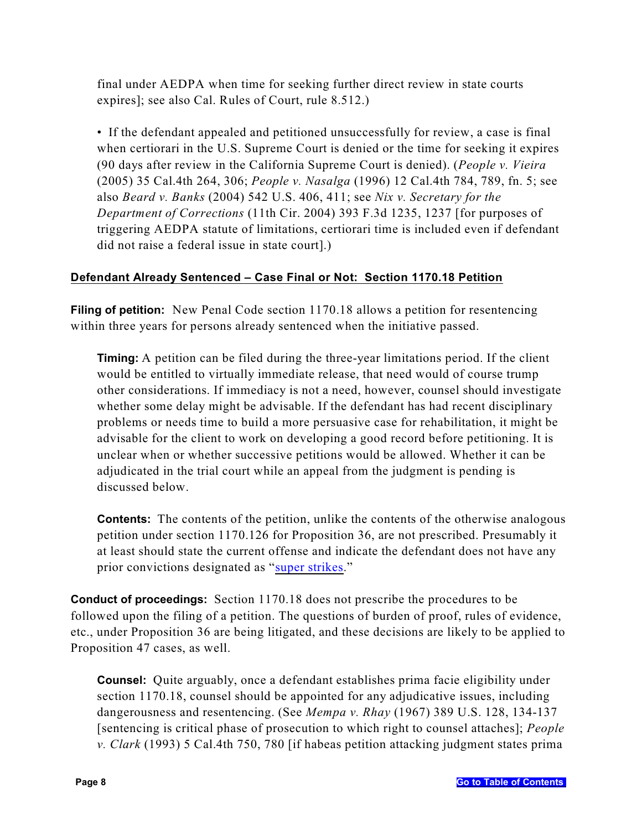final under AEDPA when time for seeking further direct review in state courts expires]; see also Cal. Rules of Court, rule 8.512.)

• If the defendant appealed and petitioned unsuccessfully for review, a case is final when certiorari in the U.S. Supreme Court is denied or the time for seeking it expires (90 days after review in the California Supreme Court is denied). (*People v. Vieira* (2005) 35 Cal.4th 264, 306; *People v. Nasalga* (1996) 12 Cal.4th 784, 789, fn. 5; see also *Beard v. Banks* (2004) 542 U.S. 406, 411; see *Nix v. Secretary for the Department of Corrections* (11th Cir. 2004) 393 F.3d 1235, 1237 [for purposes of triggering AEDPA statute of limitations, certiorari time is included even if defendant did not raise a federal issue in state court].)

# <span id="page-10-0"></span>**Defendant Already Sentenced – Case Final or Not: Section 1170.18 Petition**

**Filing of petition:** New Penal Code section 1170.18 allows a petition for resentencing within three years for persons already sentenced when the initiative passed.

**Timing:** A petition can be filed during the three-year limitations period. If the client would be entitled to virtually immediate release, that need would of course trump other considerations. If immediacy is not a need, however, counsel should investigate whether some delay might be advisable. If the defendant has had recent disciplinary problems or needs time to build a more persuasive case for rehabilitation, it might be advisable for the client to work on developing a good record before petitioning. It is unclear when or whether successive petitions would be allowed. Whether it can be adjudicated in the trial court while an appeal from the judgment is pending is discussed below.

**Contents:** The contents of the petition, unlike the contents of the otherwise analogous petition under section 1170.126 for Proposition 36, are not prescribed. Presumably it at least should state the current offense and indicate the defendant does not have any prior convictions designated as "[super strikes](#page-26-1)."

**Conduct of proceedings:** Section 1170.18 does not prescribe the procedures to be followed upon the filing of a petition. The questions of burden of proof, rules of evidence, etc., under Proposition 36 are being litigated, and these decisions are likely to be applied to Proposition 47 cases, as well.

**Counsel:** Quite arguably, once a defendant establishes prima facie eligibility under section 1170.18, counsel should be appointed for any adjudicative issues, including dangerousness and resentencing. (See *Mempa v. Rhay* (1967) 389 U.S. 128, 134-137 [sentencing is critical phase of prosecution to which right to counsel attaches]; *People v. Clark* (1993) 5 Cal.4th 750, 780 [if habeas petition attacking judgment states prima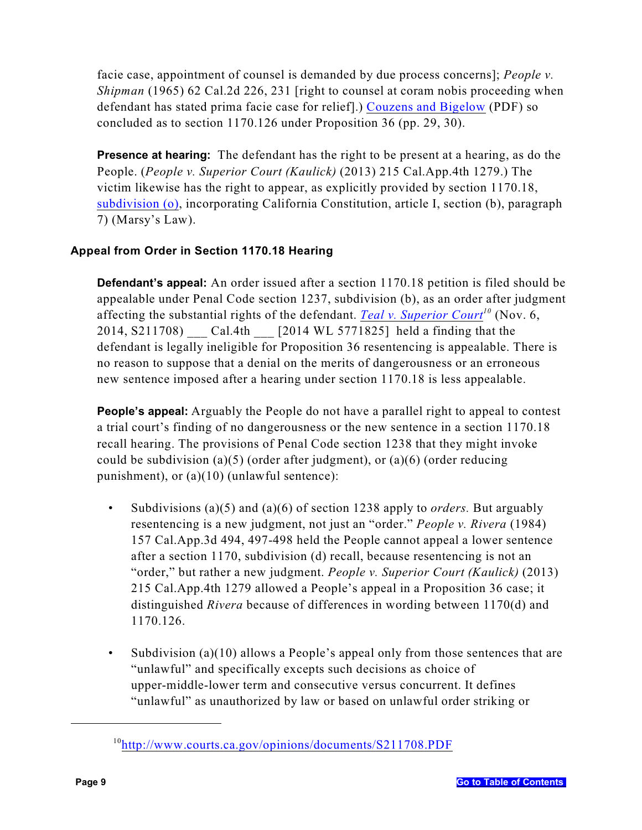facie case, appointment of counsel is demanded by due process concerns]; *People v. Shipman* (1965) 62 Cal.2d 226, 231 [right to counsel at coram nobis proceeding when defendant has stated prima facie case for relief].) [Couzens and Bigelow](http://www.adi-sandiego.com/news_alerts/pdfs/2012/Three_Strikes_Amendment_Couzens-Bigelow_approved_for_public_distribution.pdf) (PDF) so concluded as to section 1170.126 under Proposition 36 (pp. 29, 30).

**Presence at hearing:** The defendant has the right to be present at a hearing, as do the People. (*People v. Superior Court (Kaulick)* (2013) 215 Cal.App.4th 1279.) The victim likewise has the right to appear, as explicitly provided by section 1170.18, [subdivision \(o\)](#page-24-5), incorporating California Constitution, article I, section (b), paragraph 7) (Marsy's Law).

# <span id="page-11-0"></span>**Appeal from Order in Section 1170.18 Hearing**

**Defendant's appeal:** An order issued after a section 1170.18 petition is filed should be appealable under Penal Code section 1237, subdivision (b), as an order after judgment affecting the substantial rights of the defendant. *[Teal v. Superior Court](http://www.courts.ca.gov/opinions/documents/S211708.PDF)*<sup>10</sup> (Nov. 6, 2014, S211708) \_\_\_ Cal.4th \_\_\_ [2014 WL 5771825] held a finding that the defendant is legally ineligible for Proposition 36 resentencing is appealable. There is no reason to suppose that a denial on the merits of dangerousness or an erroneous new sentence imposed after a hearing under section 1170.18 is less appealable.

**People's appeal:** Arguably the People do not have a parallel right to appeal to contest a trial court's finding of no dangerousness or the new sentence in a section 1170.18 recall hearing. The provisions of Penal Code section 1238 that they might invoke could be subdivision (a)(5) (order after judgment), or (a)(6) (order reducing punishment), or (a)(10) (unlawful sentence):

- Subdivisions (a)(5) and (a)(6) of section 1238 apply to *orders.* But arguably resentencing is a new judgment, not just an "order." *People v. Rivera* (1984) 157 Cal.App.3d 494, 497-498 held the People cannot appeal a lower sentence after a section 1170, subdivision (d) recall, because resentencing is not an "order," but rather a new judgment. *People v. Superior Court (Kaulick)* (2013) 215 Cal.App.4th 1279 allowed a People's appeal in a Proposition 36 case; it distinguished *Rivera* because of differences in wording between 1170(d) and 1170.126.
- Subdivision (a) $(10)$  allows a People's appeal only from those sentences that are "unlawful" and specifically excepts such decisions as choice of upper-middle-lower term and consecutive versus concurrent. It defines "unlawful" as unauthorized by law or based on unlawful order striking or

<sup>&</sup>lt;sup>10</sup><http://www.courts.ca.gov/opinions/documents/S211708.PDF>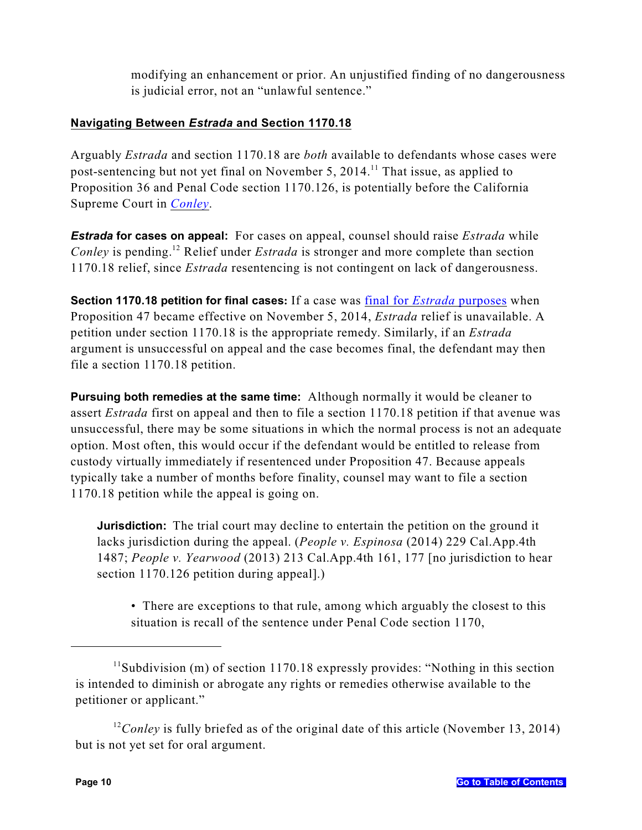modifying an enhancement or prior. An unjustified finding of no dangerousness is judicial error, not an "unlawful sentence."

# <span id="page-12-0"></span>**Navigating Between** *Estrada* **and Section 1170.18**

Arguably *Estrada* and section 1170.18 are *both* available to defendants whose cases were post-sentencing but not yet final on November 5,  $2014$ .<sup>11</sup> That issue, as applied to Proposition 36 and Penal Code section 1170.126, is potentially before the California Supreme Court in *[Conley](http://appellatecases.courtinfo.ca.gov/search/case/mainCaseScreen.cfm?dist=0&doc_id=2047890&doc_no=S211275&search=party&start=1&query_partyLastNameOrOrg=conley)*.

*Estrada* **for cases on appeal:** For cases on appeal, counsel should raise *Estrada* while *Conley* is pending.<sup>12</sup> Relief under *Estrada* is stronger and more complete than section 1170.18 relief, since *Estrada* resentencing is not contingent on lack of dangerousness.

**Section 1170.18 petition for final cases:** If a case was final for *Estrada* [purposes](#page-9-0) when Proposition 47 became effective on November 5, 2014, *Estrada* relief is unavailable. A petition under section 1170.18 is the appropriate remedy. Similarly, if an *Estrada* argument is unsuccessful on appeal and the case becomes final, the defendant may then file a section 1170.18 petition.

**Pursuing both remedies at the same time:** Although normally it would be cleaner to assert *Estrada* first on appeal and then to file a section 1170.18 petition if that avenue was unsuccessful, there may be some situations in which the normal process is not an adequate option. Most often, this would occur if the defendant would be entitled to release from custody virtually immediately if resentenced under Proposition 47. Because appeals typically take a number of months before finality, counsel may want to file a section 1170.18 petition while the appeal is going on.

**Jurisdiction:** The trial court may decline to entertain the petition on the ground it lacks jurisdiction during the appeal. (*People v. Espinosa* (2014) 229 Cal.App.4th 1487; *People v. Yearwood* (2013) 213 Cal.App.4th 161, 177 [no jurisdiction to hear section 1170.126 petition during appeal].)

<span id="page-12-1"></span>• There are exceptions to that rule, among which arguably the closest to this situation is recall of the sentence under Penal Code section 1170,

 $11$ Subdivision (m) of section 1170.18 expressly provides: "Nothing in this section is intended to diminish or abrogate any rights or remedies otherwise available to the petitioner or applicant."

<sup>&</sup>lt;sup>12</sup> Conley is fully briefed as of the original date of this article (November 13, 2014) but is not yet set for oral argument.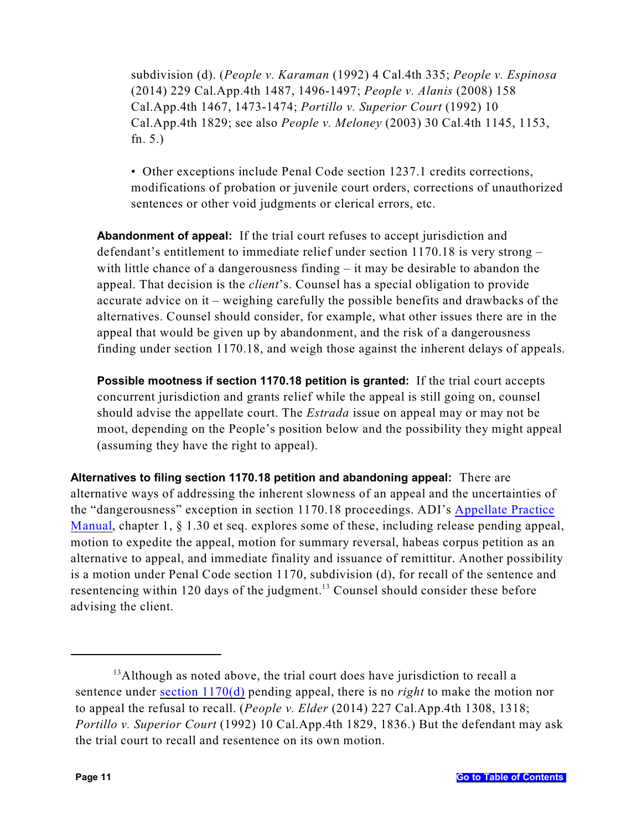subdivision (d). (*People v. Karaman* (1992) 4 Cal.4th 335; *People v. Espinosa* (2014) 229 Cal.App.4th 1487, 1496-1497; *People v. Alanis* (2008) 158 Cal.App.4th 1467, 1473-1474; *Portillo v. Superior Court* (1992) 10 Cal.App.4th 1829; see also *People v. Meloney* (2003) 30 Cal.4th 1145, 1153, fn. 5.)

• Other exceptions include Penal Code section 1237.1 credits corrections, modifications of probation or juvenile court orders, corrections of unauthorized sentences or other void judgments or clerical errors, etc.

**Abandonment of appeal:** If the trial court refuses to accept jurisdiction and defendant's entitlement to immediate relief under section 1170.18 is very strong – with little chance of a dangerousness finding – it may be desirable to abandon the appeal. That decision is the *client*'s. Counsel has a special obligation to provide accurate advice on it – weighing carefully the possible benefits and drawbacks of the alternatives. Counsel should consider, for example, what other issues there are in the appeal that would be given up by abandonment, and the risk of a dangerousness finding under section 1170.18, and weigh those against the inherent delays of appeals.

**Possible mootness if section 1170.18 petition is granted:** If the trial court accepts concurrent jurisdiction and grants relief while the appeal is still going on, counsel should advise the appellate court. The *Estrada* issue on appeal may or may not be moot, depending on the People's position below and the possibility they might appeal (assuming they have the right to appeal).

**Alternatives to filing section 1170.18 petition and abandoning appeal:** There are alternative ways of addressing the inherent slowness of an appeal and the uncertainties of the "dangerousness" exception in section 1170.18 proceedings. ADI's [Appellate Practice](http://www.adi-sandiego.com/panel/manual.asp) [Manual](http://www.adi-sandiego.com/panel/manual.asp), chapter 1, § 1.30 et seq. explores some of these, including release pending appeal, motion to expedite the appeal, motion for summary reversal, habeas corpus petition as an alternative to appeal, and immediate finality and issuance of remittitur. Another possibility is a motion under Penal Code section 1170, subdivision (d), for recall of the sentence and resentencing within 120 days of the judgment.<sup>13</sup> Counsel should consider these before advising the client.

 $13$ Although as noted above, the trial court does have jurisdiction to recall a sentence under [section 1170\(d\)](#page-12-1) pending appeal, there is no *right* to make the motion nor to appeal the refusal to recall. (*People v. Elder* (2014) 227 Cal.App.4th 1308, 1318; *Portillo v. Superior Court* (1992) 10 Cal.App.4th 1829, 1836.) But the defendant may ask the trial court to recall and resentence on its own motion.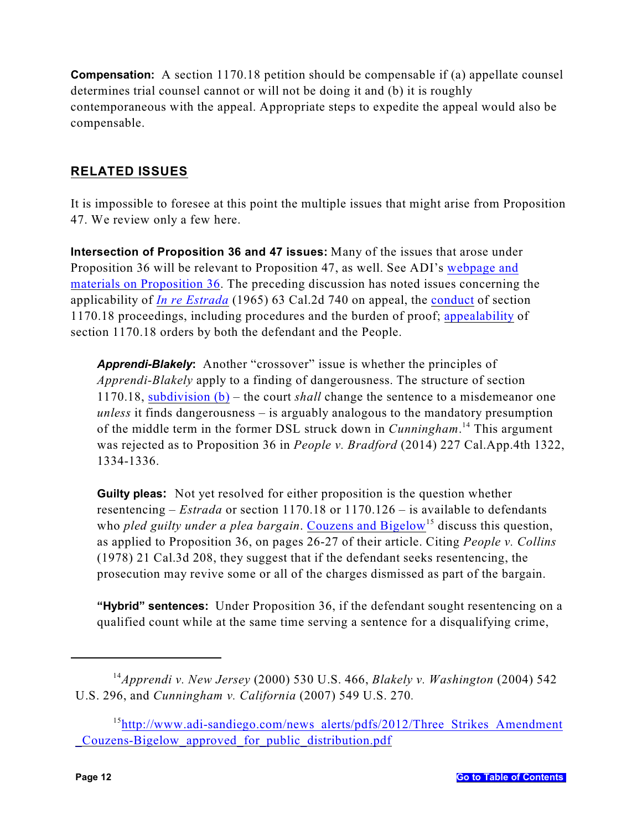**Compensation:** A section 1170.18 petition should be compensable if (a) appellate counsel determines trial counsel cannot or will not be doing it and (b) it is roughly contemporaneous with the appeal. Appropriate steps to expedite the appeal would also be compensable.

# <span id="page-14-0"></span>**RELATED ISSUES**

It is impossible to foresee at this point the multiple issues that might arise from Proposition 47. We review only a few here.

<span id="page-14-1"></span>**Intersection of Proposition 36 and 47 issues:** Many of the issues that arose under Proposition 36 will be relevant to Proposition 47, as well. See ADI's [webpage and](http://www.adi-sandiego.com/news_alerts/recent_changes_statutes.asp#prop36) [materials on Proposition 36](http://www.adi-sandiego.com/news_alerts/recent_changes_statutes.asp#prop36). The preceding discussion has noted issues concerning the applicability of *[In re Estrada](#page-8-1)* (1965) 63 Cal.2d 740 on appeal, the [conduct](#page-14-2) of section 1170.18 proceedings, including procedures and the burden of proof; [appealability](#page-11-0) of section 1170.18 orders by both the defendant and the People.

*Apprendi-Blakely***:** Another "crossover" issue is whether the principles of *Apprendi-Blakely* apply to a finding of dangerousness. The structure of section 1170.18, [subdivision \(b\)](#page-23-2) – the court *shall* change the sentence to a misdemeanor one *unless* it finds dangerousness – is arguably analogous to the mandatory presumption of the middle term in the former DSL struck down in *Cunningham*<sup>14</sup> This argument was rejected as to Proposition 36 in *People v. Bradford* (2014) 227 Cal.App.4th 1322, 1334-1336.

**Guilty pleas:** Not yet resolved for either proposition is the question whether resentencing – *Estrada* or section 1170.18 or 1170.126 – is available to defendants who *pled guilty under a plea bargain*. [Couzens and Bigelow](http://www.adi-sandiego.com/news_alerts/pdfs/2012/Three_Strikes_Amendment_Couzens-Bigelow_approved_for_public_distribution.pdf)<sup>15</sup> discuss this question, as applied to Proposition 36, on pages 26-27 of their article. Citing *People v. Collins* (1978) 21 Cal.3d 208, they suggest that if the defendant seeks resentencing, the prosecution may revive some or all of the charges dismissed as part of the bargain.

**"Hybrid" sentences:** Under Proposition 36, if the defendant sought resentencing on a qualified count while at the same time serving a sentence for a disqualifying crime,

<sup>&</sup>lt;sup>14</sup> Apprendi v. New Jersey (2000) 530 U.S. 466, *Blakely v. Washington* (2004) 542 U.S. 296, and *Cunningham v. California* (2007) 549 U.S. 270*.*

<span id="page-14-2"></span><sup>&</sup>lt;sup>15</sup>[http://www.adi-sandiego.com/news\\_alerts/pdfs/2012/Three\\_Strikes\\_Amendment](http://www.adi-sandiego.com/news_alerts/pdfs/2012/Three_Strikes_Amendment_Couzens-Bigelow_approved_for_public_distribution.pdf) [\\_Couzens-Bigelow\\_approved\\_for\\_public\\_distribution.pdf](http://www.adi-sandiego.com/news_alerts/pdfs/2012/Three_Strikes_Amendment_Couzens-Bigelow_approved_for_public_distribution.pdf)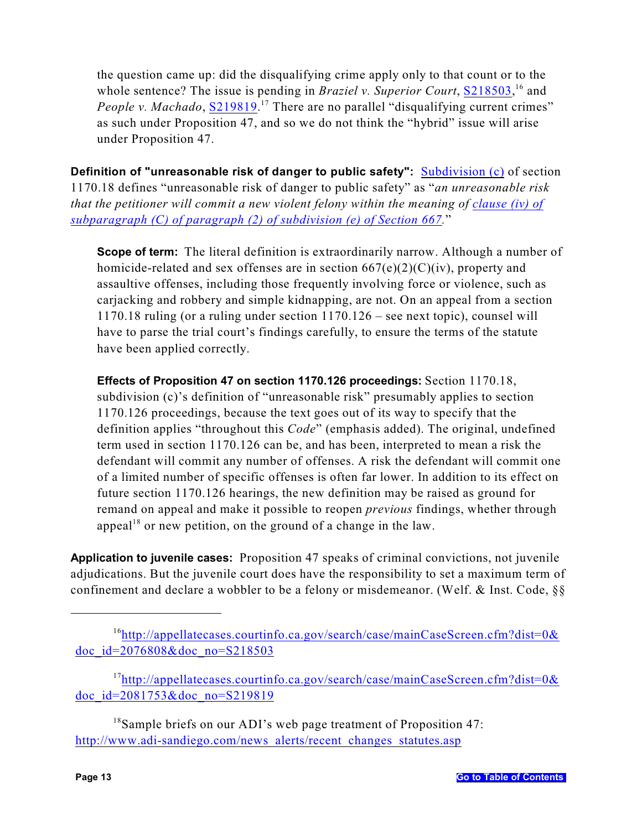the question came up: did the disqualifying crime apply only to that count or to the whole sentence? The issue is pending in *Braziel v. Superior Court*, [S218503](http://appellatecases.courtinfo.ca.gov/search/case/mainCaseScreen.cfm?dist=0&doc_id=2076808&doc_no=S218503),<sup>16</sup> and *People v. Machado*, **S219819**.<sup>17</sup> There are no parallel "disqualifying current crimes" as such under Proposition 47, and so we do not think the "hybrid" issue will arise under Proposition 47.

<span id="page-15-0"></span>**Definition of "unreasonable risk of danger to public safety":** [Subdivision \(c\)](#page-23-4) of section 1170.18 defines "unreasonable risk of danger to public safety" as "*an unreasonable risk that the petitioner will commit a new violent felony within the meaning of [clause \(iv\) of](#page-26-2) [subparagraph \(C\) of paragraph \(2\) of subdivision \(e\) of Section 667](#page-26-2).*"

**Scope of term:** The literal definition is extraordinarily narrow. Although a number of homicide-related and sex offenses are in section  $667(e)(2)(C)(iv)$ , property and assaultive offenses, including those frequently involving force or violence, such as carjacking and robbery and simple kidnapping, are not. On an appeal from a section 1170.18 ruling (or a ruling under section 1170.126 – see next topic), counsel will have to parse the trial court's findings carefully, to ensure the terms of the statute have been applied correctly.

**Effects of Proposition 47 on section 1170.126 proceedings:** Section 1170.18, subdivision (c)'s definition of "unreasonable risk" presumably applies to section 1170.126 proceedings, because the text goes out of its way to specify that the definition applies "throughout this *Code*" (emphasis added). The original, undefined term used in section 1170.126 can be, and has been, interpreted to mean a risk the defendant will commit any number of offenses. A risk the defendant will commit one of a limited number of specific offenses is often far lower. In addition to its effect on future section 1170.126 hearings, the new definition may be raised as ground for remand on appeal and make it possible to reopen *previous* findings, whether through appeal<sup>18</sup> or new petition, on the ground of a change in the law.

<span id="page-15-1"></span>**Application to juvenile cases:** Proposition 47 speaks of criminal convictions, not juvenile adjudications. But the juvenile court does have the responsibility to set a maximum term of confinement and declare a wobbler to be a felony or misdemeanor. (Welf. & Inst. Code, §§

 $17$ [http://appellatecases.courtinfo.ca.gov/search/case/mainCaseScreen.cfm?dist=0&](http://appellatecases.courtinfo.ca.gov/search/case/mainCaseScreen.cfm?dist=0&doc_id=2081753&doc_no=S219819) [doc\\_id=2081753&doc\\_no=S219819](http://appellatecases.courtinfo.ca.gov/search/case/mainCaseScreen.cfm?dist=0&doc_id=2081753&doc_no=S219819)

 $18$ Sample briefs on our ADI's web page treatment of Proposition 47: [http://www.adi-sandiego.com/news\\_alerts/recent\\_changes\\_statutes.asp](http://www.adi-sandiego.com/news_alerts/recent_changes_statutes.asp)

 $16$ [http://appellatecases.courtinfo.ca.gov/search/case/mainCaseScreen.cfm?dist=0&](http://appellatecases.courtinfo.ca.gov/search/case/mainCaseScreen.cfm?dist=0&doc_id=2076808&doc_no=S218503) [doc\\_id=2076808&doc\\_no=S218503](http://appellatecases.courtinfo.ca.gov/search/case/mainCaseScreen.cfm?dist=0&doc_id=2076808&doc_no=S218503)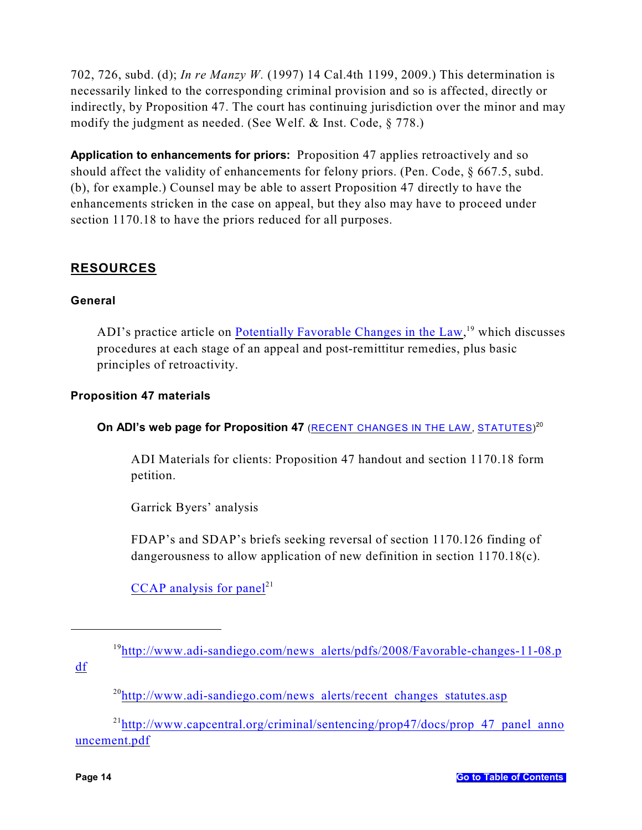702, 726, subd. (d); *In re Manzy W.* (1997) 14 Cal.4th 1199, 2009.) This determination is necessarily linked to the corresponding criminal provision and so is affected, directly or indirectly, by Proposition 47. The court has continuing jurisdiction over the minor and may modify the judgment as needed. (See Welf. & Inst. Code, § 778.)

<span id="page-16-0"></span>**Application to enhancements for priors:** Proposition 47 applies retroactively and so should affect the validity of enhancements for felony priors. (Pen. Code, § 667.5, subd. (b), for example.) Counsel may be able to assert Proposition 47 directly to have the enhancements stricken in the case on appeal, but they also may have to proceed under section 1170.18 to have the priors reduced for all purposes.

# <span id="page-16-1"></span>**RESOURCES**

### **General**

ADI's practice article on [Potentially Favorable Changes in the Law](http://www.adi-sandiego.com/news_alerts/pdfs/2008/Favorable-changes-11-08.pdf),  $^{19}$  which discusses procedures at each stage of an appeal and post-remittitur remedies, plus basic principles of retroactivity.

### **Proposition 47 materials**

On ADI's web page for Proposition 47 (<u>RECENT CHANGES IN THE LAW, [STATUTES](http://www.adi-sandiego.com/news_alerts/recent_changes_statutes.asp)</u>)<sup>20</sup>

ADI Materials for clients: Proposition 47 handout and section 1170.18 form petition.

Garrick Byers' analysis

FDAP's and SDAP's briefs seeking reversal of section 1170.126 finding of dangerousness to allow application of new definition in section 1170.18(c).

[CCAP analysis for panel](http://www.capcentral.org/criminal/sentencing/prop47/docs/prop_47_panel_announcement.pdf)<sup>21</sup>

[df](http://www.adi-sandiego.com/news_alerts/pdfs/2008/Favorable-changes-11-08.pdf)

 $^{20}$ [http://www.adi-sandiego.com/news\\_alerts/recent\\_changes\\_statutes.asp](http://www.adi-sandiego.com/news_alerts/recent_changes_statutes.asp)

 $^{21}$ [http://www.capcentral.org/criminal/sentencing/prop47/docs/prop\\_47\\_panel\\_anno](http://www.capcentral.org/criminal/sentencing/prop47/docs/prop_47_panel_announcement.pdf) [uncement.pdf](http://www.capcentral.org/criminal/sentencing/prop47/docs/prop_47_panel_announcement.pdf)

 $19$ [http://www.adi-sandiego.com/news\\_alerts/pdfs/2008/Favorable-changes-11-08.p](http://www.adi-sandiego.com/news_alerts/pdfs/2008/Favorable-changes-11-08.pdf)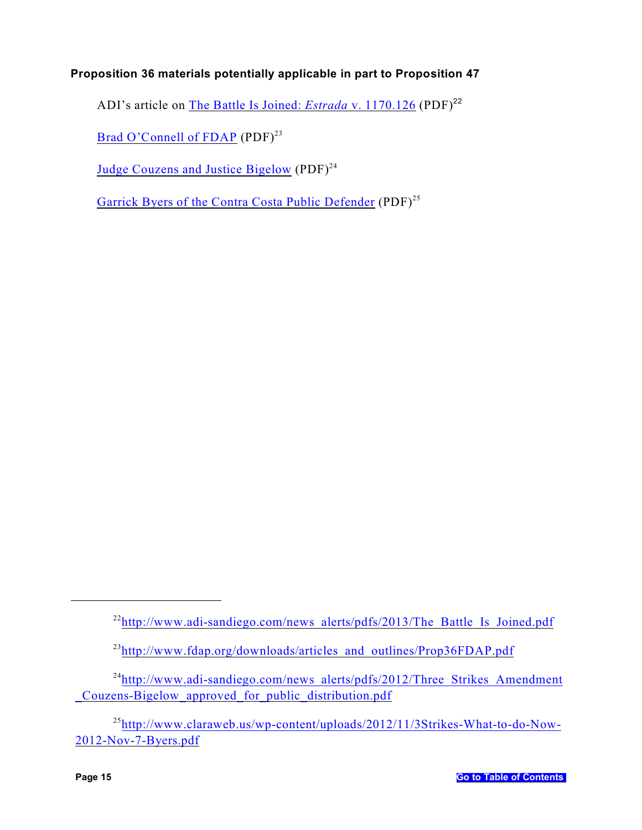## **Proposition 36 materials potentially applicable in part to Proposition 47**

ADI's article on [The Battle Is Joined:](http://www.adi-sandiego.com/news_alerts/pdfs/2013/The_Battle_Is_Joined.pdf) *Estrada* v. 1170.126 (PDF)<sup>22</sup>

[Brad O'Connell of FDAP](http://www.fdap.org/downloads/articles_and_outlines/Prop36FDAP.pdf) (PDF)<sup>23</sup>

[Judge Couzens and Justice Bigelow](http://www.adi-sandiego.com/news_alerts/pdfs/2012/Three_Strikes_Amendment_Couzens-Bigelow_approved_for_public_distribution.pdf)  $(PDF)^{24}$ 

[Garrick Byers of the Contra Costa Public Defender](http://www.claraweb.us/wp-content/uploads/2012/11/3Strikes-What-to-do-Now-2012-Nov-7-Byers.pdf) (PDF)<sup>25</sup>

<sup>&</sup>lt;sup>22</sup>[http://www.adi-sandiego.com/news\\_alerts/pdfs/2013/The\\_Battle\\_Is\\_Joined.pdf](http://www.adi-sandiego.com/news_alerts/pdfs/2013/The_Battle_Is_Joined.pdf)

<sup>&</sup>lt;sup>23</sup>[http://www.fdap.org/downloads/articles\\_and\\_outlines/Prop36FDAP.pdf](http://www.fdap.org/downloads/articles_and_outlines/Prop36FDAP.pdf)

 $^{24}$ [http://www.adi-sandiego.com/news\\_alerts/pdfs/2012/Three\\_Strikes\\_Amendment](http://www.adi-sandiego.com/news_alerts/pdfs/2012/Three_Strikes_Amendment_Couzens-Bigelow_approved_for_public_distribution.pdf) [\\_Couzens-Bigelow\\_approved\\_for\\_public\\_distribution.pdf](http://www.adi-sandiego.com/news_alerts/pdfs/2012/Three_Strikes_Amendment_Couzens-Bigelow_approved_for_public_distribution.pdf)

<sup>25</sup>[http://www.claraweb.us/wp-content/uploads/2012/11/3Strikes-What-to-do-Now-](http://www.claraweb.us/wp-content/uploads/2012/11/3Strikes-What-to-do-Now-2012-Nov-7-Byers.pdf)[2012-Nov-7-Byers.pdf](http://www.claraweb.us/wp-content/uploads/2012/11/3Strikes-What-to-do-Now-2012-Nov-7-Byers.pdf)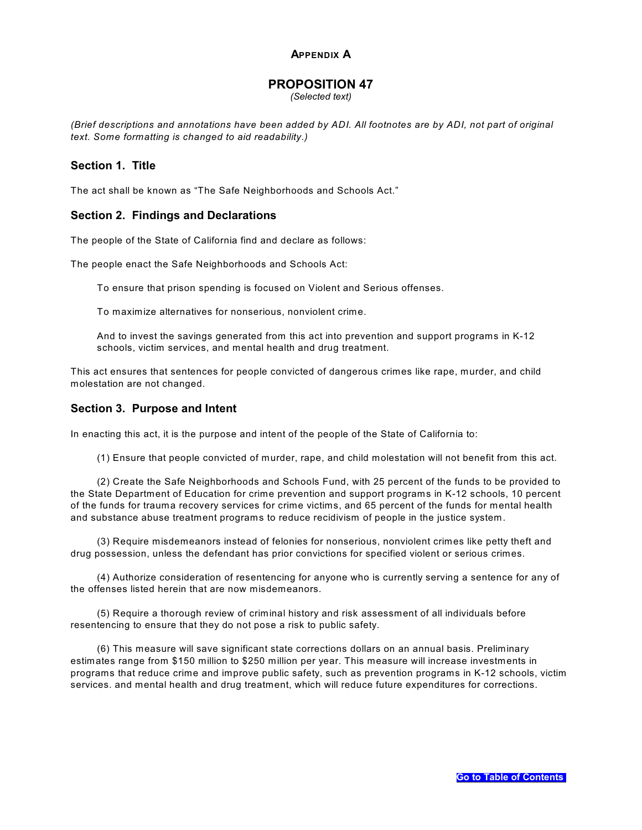#### <span id="page-18-0"></span>**APPENDIX A**

### **PROPOSITION 47**

*(Selected text)*

*(Brief descriptions and annotations have been added by ADI. All footnotes are by ADI, not part of original text. Some formatting is changed to aid readability.)*

#### **Section 1. Title**

The act shall be known as "The Safe Neighborhoods and Schools Act."

#### **Section 2. Findings and Declarations**

The people of the State of California find and declare as follows:

The people enact the Safe Neighborhoods and Schools Act:

To ensure that prison spending is focused on Violent and Serious offenses.

To maximize alternatives for nonserious, nonviolent crime.

And to invest the savings generated from this act into prevention and support programs in K-12 schools, victim services, and mental health and drug treatment.

This act ensures that sentences for people convicted of dangerous crimes like rape, murder, and child molestation are not changed.

#### **Section 3. Purpose and Intent**

In enacting this act, it is the purpose and intent of the people of the State of California to:

(1) Ensure that people convicted of murder, rape, and child molestation will not benefit from this act.

(2) Create the Safe Neighborhoods and Schools Fund, with 25 percent of the funds to be provided to the State Department of Education for crime prevention and support programs in K-12 schools, 10 percent of the funds for trauma recovery services for crime victims, and 65 percent of the funds for mental health and substance abuse treatment programs to reduce recidivism of people in the justice system.

(3) Require misdemeanors instead of felonies for nonserious, nonviolent crimes like petty theft and drug possession, unless the defendant has prior convictions for specified violent or serious crimes.

(4) Authorize consideration of resentencing for anyone who is currently serving a sentence for any of the offenses listed herein that are now misdemeanors.

(5) Require a thorough review of criminal history and risk assessment of all individuals before resentencing to ensure that they do not pose a risk to public safety.

(6) This measure will save significant state corrections dollars on an annual basis. Preliminary estimates range from \$150 million to \$250 million per year. This measure will increase investments in programs that reduce crime and improve public safety, such as prevention programs in K-12 schools, victim services. and mental health and drug treatment, which will reduce future expenditures for corrections.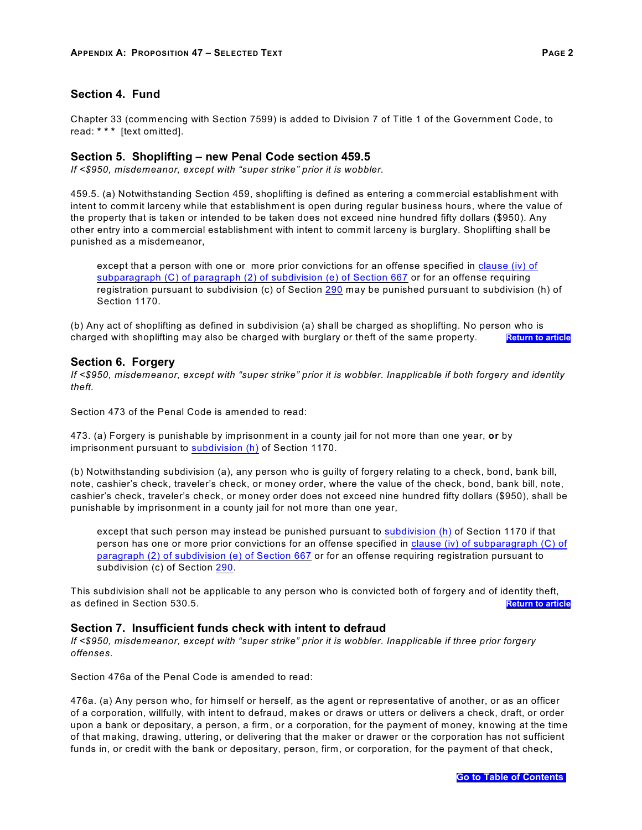Chapter 33 (commencing with Section 7599) is added to Division 7 of Title 1 of the Government Code, to read: **\* \* \*** [text omitted].

#### <span id="page-19-0"></span>**Section 5. Shoplifting – new Penal Code section 459.5**

*If <\$950, misdemeanor, except with "super strike" prior it is wobbler.* 

459.5. (a) Notwithstanding Section 459, shoplifting is defined as entering a commercial establishment with intent to commit larceny while that establishment is open during regular business hours, where the value of the property that is taken or intended to be taken does not exceed nine hundred fifty dollars (\$950). Any other entry into a commercial establishment with intent to commit larceny is burglary. Shoplifting shall be punished as a misdemeanor,

except that a person with one or more prior convictions for an offense specified in [clause \(iv\) of](#page-26-2) [subparagraph \(C\) of paragraph \(2\) of subdivision \(e\) of Section 667](#page-26-2) or for an offense requiring registration pursuant to subdivision (c) of Section [290](#page-26-3) may be punished pursuant to subdivision (h) of Section 1170.

(b) Any act of shoplifting as defined in subdivision (a) shall be charged as shoplifting. No person who is charged with shoplifting may also be charged with burglary or theft of the same property. **[Return to article](#page-3-2)** 

#### <span id="page-19-1"></span>**Section 6. Forgery**

*If <\$950, misdemeanor, except with "super strike" prior it is wobbler. Inapplicable if both forgery and identity theft.*

Section 473 of the Penal Code is amended to read:

473. (a) Forgery is punishable by imprisonment in a county jail for not more than one year, **or** by imprisonment pursuant to [subdivision \(h\)](#page-27-1) of Section 1170.

(b) Notwithstanding subdivision (a), any person who is guilty of forgery relating to a check, bond, bank bill, note, cashier's check, traveler's check, or money order, where the value of the check, bond, bank bill, note, cashier's check, traveler's check, or money order does not exceed nine hundred fifty dollars (\$950), shall be punishable by imprisonment in a county jail for not more than one year,

except that such person may instead be punished pursuant to [subdivision \(h\)](#page-27-1) of Section 1170 if that person has one or more prior convictions for an offense specified in [clause \(iv\) of subparagraph \(C\) of](#page-26-2) [paragraph \(2\) of subdivision \(e\) of Section 667](#page-26-2) or for an offense requiring registration pursuant to subdivision (c) of Section [290](#page-26-3).

This subdivision shall not be applicable to any person who is convicted both of forgery and of identity theft, as defined in Section 530.5. **[Return to article](#page-4-0)**

#### <span id="page-19-2"></span>**Section 7. Insufficient funds check with intent to defraud**

*If <\$950, misdemeanor, except with "super strike" prior it is wobbler. Inapplicable if three prior forgery offenses.* 

Section 476a of the Penal Code is amended to read:

476a. (a) Any person who, for himself or herself, as the agent or representative of another, or as an officer of a corporation, willfully, with intent to defraud, makes or draws or utters or delivers a check, draft, or order upon a bank or depositary, a person, a firm, or a corporation, for the payment of money, knowing at the time of that making, drawing, uttering, or delivering that the maker or drawer or the corporation has not sufficient funds in, or credit with the bank or depositary, person, firm, or corporation, for the payment of that check,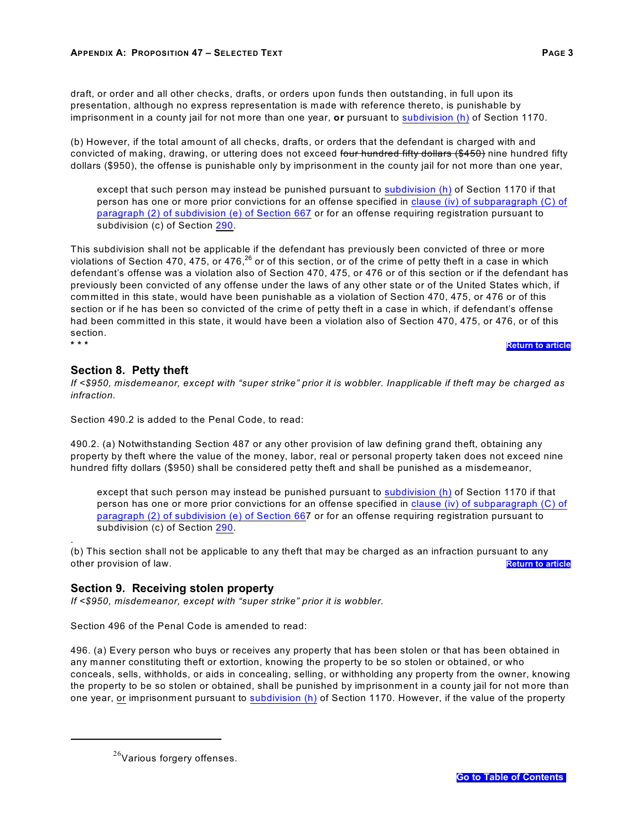draft, or order and all other checks, drafts, or orders upon funds then outstanding, in full upon its presentation, although no express representation is made with reference thereto, is punishable by imprisonment in a county jail for not more than one year, **or** pursuant to [subdivision \(h\)](#page-27-1) of Section 1170.

(b) However, if the total amount of all checks, drafts, or orders that the defendant is charged with and convicted of making, drawing, or uttering does not exceed four hundred fifty dollars (\$450) nine hundred fifty dollars (\$950), the offense is punishable only by imprisonment in the county jail for not more than one year,

except that such person may instead be punished pursuant to [subdivision \(h\)](#page-27-1) of Section 1170 if that person has one or more prior convictions for an offense specified in [clause \(iv\) of subparagraph \(C\) of](#page-26-2) [paragraph \(2\) of subdivision \(e\) of Section 667](#page-26-2) or for an offense requiring registration pursuant to subdivision (c) of Section [290](#page-26-3).

This subdivision shall not be applicable if the defendant has previously been convicted of three or more violations of Section 470, 475, or 476,<sup>26</sup> or of this section, or of the crime of petty theft in a case in which defendant's offense was a violation also of Section 470, 475, or 476 or of this section or if the defendant has previously been convicted of any offense under the laws of any other state or of the United States which, if committed in this state, would have been punishable as a violation of Section 470, 475, or 476 or of this section or if he has been so convicted of the crime of petty theft in a case in which, if defendant's offense had been committed in this state, it would have been a violation also of Section 470, 475, or 476, or of this section. **\* \* \* [Return to article](#page-4-1)**

#### <span id="page-20-0"></span>**Section 8. Petty theft**

.

*If <\$950, misdemeanor, except with "super strike" prior it is wobbler. Inapplicable if theft may be charged as infraction.*

Section 490.2 is added to the Penal Code, to read:

490.2. (a) Notwithstanding Section 487 or any other provision of law defining grand theft, obtaining any property by theft where the value of the money, labor, real or personal property taken does not exceed nine hundred fifty dollars (\$950) shall be considered petty theft and shall be punished as a misdemeanor,

except that such person may instead be punished pursuant to [subdivision \(h\)](#page-27-1) of Section 1170 if that person has one or more prior convictions for an offense specified in [clause \(iv\) of subparagraph \(C\) of](#page-26-2) [paragraph \(2\) of subdivision \(e\) of Section 66](#page-26-2)7 or for an offense requiring registration pursuant to subdivision (c) of Section [290](#page-26-3).

(b) This section shall not be applicable to any theft that may be charged as an infraction pursuant to any other provision of law. **[Return to article](#page-4-2)**

#### <span id="page-20-1"></span>**Section 9. Receiving stolen property**

*If <\$950, misdemeanor, except with "super strike" prior it is wobbler.* 

Section 496 of the Penal Code is amended to read:

496. (a) Every person who buys or receives any property that has been stolen or that has been obtained in any manner constituting theft or extortion, knowing the property to be so stolen or obtained, or who conceals, sells, withholds, or aids in concealing, selling, or withholding any property from the owner, knowing the property to be so stolen or obtained, shall be punished by imprisonment in a county jail for not more than one year, or imprisonment pursuant to [subdivision \(h\)](#page-27-1) of Section 1170. However, if the value of the property

 $^{26}$ Various forgery offenses.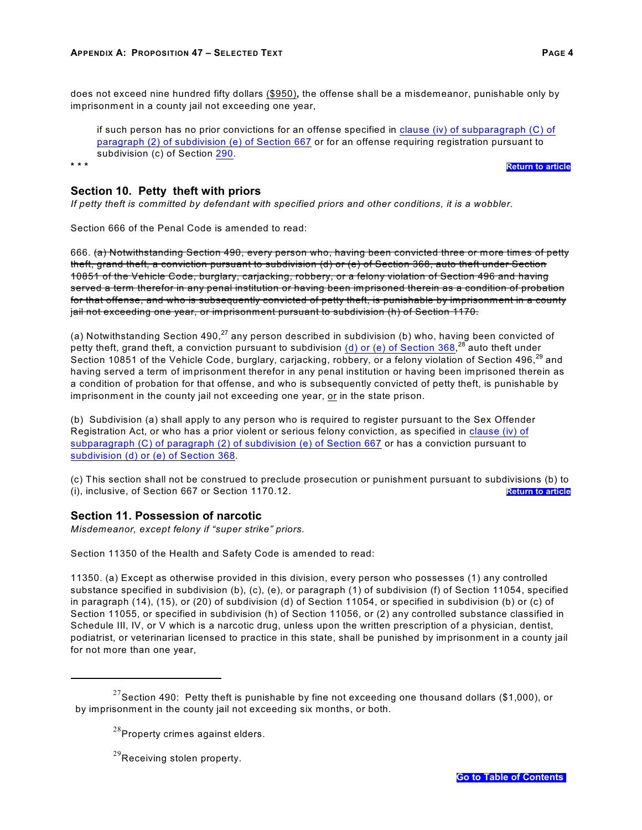does not exceed nine hundred fifty dollars (\$950)**,** the offense shall be a misdemeanor, punishable only by imprisonment in a county jail not exceeding one year,

if such person has no prior convictions for an offense specified in [clause \(iv\) of subparagraph \(C\) of](#page-26-2) [paragraph \(2\) of subdivision \(e\) of Section 667](#page-26-2) or for an offense requiring registration pursuant to subdivision (c) of Section [290](#page-26-3).

**[Return to article](#page-4-3)** 

#### <span id="page-21-0"></span>**Section 10. Petty theft with priors**

*If petty theft is committed by defendant with specified priors and other conditions, it is a wobbler.* 

Section 666 of the Penal Code is amended to read:

666. (a) Notwithstanding Section 490, every person who, having been convicted three or more times of petty theft, grand theft, a conviction pursuant to subdivision (d) or (e) of Section 368, auto theft under Section 10851 of the Vehicle Code, burglary, carjacking, robbery, or a felony violation of Section 496 and having served a term therefor in any penal institution or having been imprisoned therein as a condition of probation for that offense, and who is subsequently convicted of petty theft, is punishable by imprisonment in a county jail not exceeding one year, or imprisonment pursuant to subdivision (h) of Section 1170.

(a) Notwithstanding Section 490,<sup>27</sup> any person described in subdivision (b) who, having been convicted of petty theft, grand theft, a conviction pursuant to subdivision  $(d)$  or (e) of Section 368,<sup>28</sup> auto theft under Section 10851 of the Vehicle Code, burglary, carjacking, robbery, or a felony violation of Section 496,<sup>29</sup> and having served a term of imprisonment therefor in any penal institution or having been imprisoned therein as a condition of probation for that offense, and who is subsequently convicted of petty theft, is punishable by imprisonment in the county jail not exceeding one year, or in the state prison.

(b) Subdivision (a) shall apply to any person who is required to register pursuant to the Sex Offender Registration Act, or who has a prior violent or serious felony conviction, as specified in [clause \(iv\) of](#page-26-2) [subparagraph \(C\) of paragraph \(2\) of subdivision \(e\) of Section 667](#page-26-2) or has a conviction pursuant to [subdivision \(d\) or \(e\) of Section 368](#page-27-0).

(c) This section shall not be construed to preclude prosecution or punishment pursuant to subdivisions (b) to (i), inclusive, of Section 667 or Section 1170.12. **[Return to article](#page-4-4)**

#### <span id="page-21-1"></span>**Section 11. Possession of narcotic**

*Misdemeanor, except felony if "super strike" priors.* 

Section 11350 of the Health and Safety Code is amended to read:

11350. (a) Except as otherwise provided in this division, every person who possesses (1) any controlled substance specified in subdivision (b), (c), (e), or paragraph (1) of subdivision (f) of Section 11054, specified in paragraph (14), (15), or (20) of subdivision (d) of Section 11054, or specified in subdivision (b) or (c) of Section 11055, or specified in subdivision (h) of Section 11056, or (2) any controlled substance classified in Schedule III, IV, or V which is a narcotic drug, unless upon the written prescription of a physician, dentist, podiatrist, or veterinarian licensed to practice in this state, shall be punished by imprisonment in a county jail for not more than one year,

 $^{27}$ Section 490: Petty theft is punishable by fine not exceeding one thousand dollars (\$1,000), or by imprisonment in the county jail not exceeding six months, or both.

 $^{28}$ Property crimes against elders.

 $^{29}$ Receiving stolen property.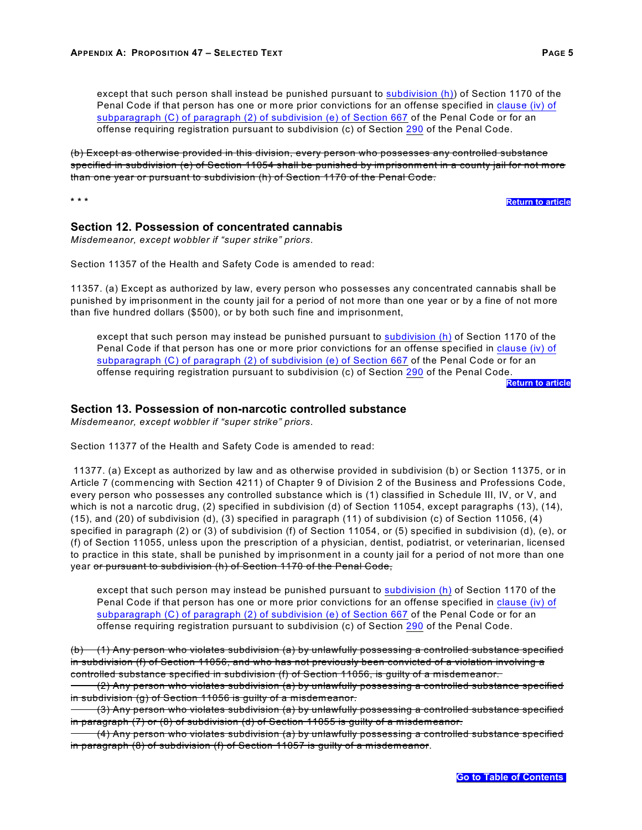except that such person shall instead be punished pursuant to [subdivision \(h\)](#page-27-1)) of Section 1170 of the Penal Code if that person has one or more prior convictions for an offense specified in [clause \(iv\) of](#page-26-2) [subparagraph \(C\) of paragraph \(2\) of subdivision \(e\) of Section 667](#page-26-2) of the Penal Code or for an offense requiring registration pursuant to subdivision (c) of Section [290](#page-26-3) of the Penal Code.

(b) Except as otherwise provided in this division, every person who possesses any controlled substance specified in subdivision (e) of Section 11054 shall be punished by imprisonment in a county jail for not more than one year or pursuant to subdivision (h) of Section 1170 of the Penal Code.

**\* \* \* [Return to article](#page-21-1)**

#### <span id="page-22-0"></span>**Section 12. Possession of concentrated cannabis**

*Misdemeanor, except wobbler if "super strike" priors.* 

Section 11357 of the Health and Safety Code is amended to read:

11357. (a) Except as authorized by law, every person who possesses any concentrated cannabis shall be punished by imprisonment in the county jail for a period of not more than one year or by a fine of not more than five hundred dollars (\$500), or by both such fine and imprisonment,

except that such person may instead be punished pursuant to [subdivision \(h\)](#page-27-1) of Section 1170 of the Penal Code if that person has one or more prior convictions for an offense specified in [clause \(iv\) of](#page-26-2) [subparagraph \(C\) of paragraph \(2\) of subdivision \(e\) of Section 667](#page-26-2) of the Penal Code or for an offense requiring registration pursuant to subdivision (c) of Section [290](#page-26-3) of the Penal Code.

**[Return to article](#page-5-2)**

#### <span id="page-22-1"></span>**Section 13. Possession of non-narcotic controlled substance**

*Misdemeanor, except wobbler if "super strike" priors.* 

Section 11377 of the Health and Safety Code is amended to read:

11377. (a) Except as authorized by law and as otherwise provided in subdivision (b) or Section 11375, or in Article 7 (commencing with Section 4211) of Chapter 9 of Division 2 of the Business and Professions Code, every person who possesses any controlled substance which is (1) classified in Schedule III, IV, or V, and which is not a narcotic drug, (2) specified in subdivision (d) of Section 11054, except paragraphs (13), (14), (15), and (20) of subdivision (d), (3) specified in paragraph (11) of subdivision (c) of Section 11056, (4) specified in paragraph (2) or (3) of subdivision (f) of Section 11054, or (5) specified in subdivision (d), (e), or (f) of Section 11055, unless upon the prescription of a physician, dentist, podiatrist, or veterinarian, licensed to practice in this state, shall be punished by imprisonment in a county jail for a period of not more than one year <del>or pursuant to subdivision (h) of Section 1170 of the Penal Code,</del>

except that such person may instead be punished pursuant to [subdivision \(h\)](#page-27-1) of Section 1170 of the Penal Code if that person has one or more prior convictions for an offense specified in [clause \(iv\) of](#page-26-2) [subparagraph \(C\) of paragraph \(2\) of subdivision \(e\) of Section 667](#page-26-2) of the Penal Code or for an offense requiring registration pursuant to subdivision (c) of Section [290](#page-26-3) of the Penal Code.

(b) (1) Any person who violates subdivision (a) by unlawfully possessing a controlled substance specified in subdivision (f) of Section 11056, and who has not previously been convicted of a violation involving a controlled substance specified in subdivision (f) of Section 11056, is guilty of a misdemeanor.

(2) Any person who violates subdivision (a) by unlawfully possessing a controlled substance specified in subdivision (g) of Section 11056 is guilty of a misdemeanor.

(3) Any person who violates subdivision (a) by unlawfully possessing a controlled substance specified in paragraph (7) or (8) of subdivision (d) of Section 11055 is guilty of a misdemeanor.

(4) Any person who violates subdivision (a) by unlawfully possessing a controlled substance specified in paragraph (8) of subdivision (f) of Section 11057 is guilty of a misdemeanor.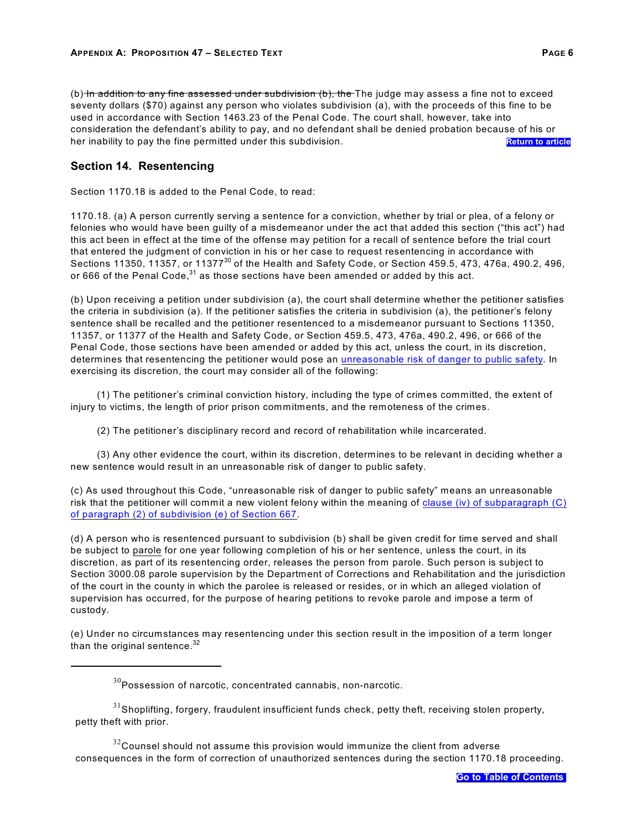(b) In addition to any fine assessed under subdivision  $(b)$ , the The judge may assess a fine not to exceed seventy dollars (\$70) against any person who violates subdivision (a), with the proceeds of this fine to be used in accordance with Section 1463.23 of the Penal Code. The court shall, however, take into consideration the defendant's ability to pay, and no defendant shall be denied probation because of his or her inability to pay the fine permitted under this subdivision. **[Return to article](#page-5-3) Return to article** 

#### <span id="page-23-1"></span>**Section 14. Resentencing**

Section 1170.18 is added to the Penal Code, to read:

<span id="page-23-0"></span>1170.18. (a) A person currently serving a sentence for a conviction, whether by trial or plea, of a felony or felonies who would have been guilty of a misdemeanor under the act that added this section ("this act") had this act been in effect at the time of the offense may petition for a recall of sentence before the trial court that entered the judgment of conviction in his or her case to request resentencing in accordance with Sections 11350, 11357, or 11377 $^{30}$  of the Health and Safety Code, or Section 459.5, 473, 476a, 490.2, 496, or 666 of the Penal Code,  $31$  as those sections have been amended or added by this act.

<span id="page-23-2"></span>(b) Upon receiving a petition under subdivision (a), the court shall determine whether the petitioner satisfies the criteria in subdivision (a). If the petitioner satisfies the criteria in subdivision (a), the petitioner's felony sentence shall be recalled and the petitioner resentenced to a misdemeanor pursuant to Sections 11350, 11357, or 11377 of the Health and Safety Code, or Section 459.5, 473, 476a, 490.2, 496, or 666 of the Penal Code, those sections have been amended or added by this act, unless the court, in its discretion, determines that resentencing the petitioner would pose an [unreasonable risk of danger to public safety](#page-23-3). In exercising its discretion, the court may consider all of the following:

(1) The petitioner's criminal conviction history, including the type of crimes committed, the extent of injury to victims, the length of prior prison commitments, and the remoteness of the crimes.

<span id="page-23-3"></span>(2) The petitioner's disciplinary record and record of rehabilitation while incarcerated.

(3) Any other evidence the court, within its discretion, determines to be relevant in deciding whether a new sentence would result in an unreasonable risk of danger to public safety.

<span id="page-23-4"></span>(c) As used throughout this Code, "unreasonable risk of danger to public safety" means an unreasonable risk that the petitioner will commit a new violent felony within the meaning of [clause \(iv\) of subparagraph \(C\)](#page-26-2) [of paragraph \(2\) of subdivision \(e\) of Section 667](#page-26-2).

<span id="page-23-5"></span>(d) A person who is resentenced pursuant to subdivision (b) shall be given credit for time served and shall be subject to parole for one year following completion of his or her sentence, unless the court, in its discretion, as part of its resentencing order, releases the person from parole. Such person is subject to Section 3000.08 parole supervision by the Department of Corrections and Rehabilitation and the jurisdiction of the court in the county in which the parolee is released or resides, or in which an alleged violation of supervision has occurred, for the purpose of hearing petitions to revoke parole and impose a term of custody.

(e) Under no circumstances may resentencing under this section result in the imposition of a term longer than the original sentence. $32$ 

 $^{32}$ Counsel should not assume this provision would immunize the client from adverse consequences in the form of correction of unauthorized sentences during the section 1170.18 proceeding.

 $^{30}\!$ Possession of narcotic, concentrated cannabis, non-narcotic.

 $31$ Shoplifting, forgery, fraudulent insufficient funds check, petty theft, receiving stolen property, petty theft with prior.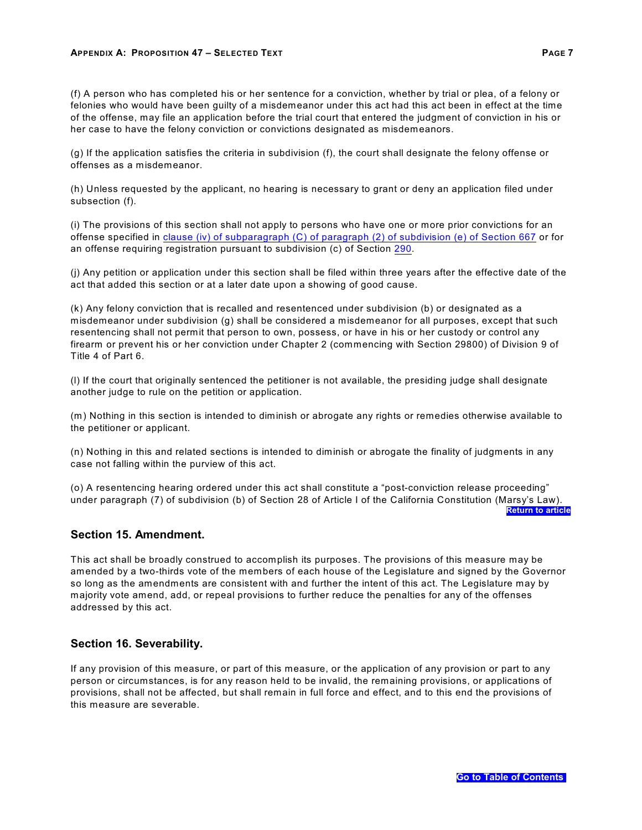#### **APPENDIX A: PROPOSITION 47 – SELECTED TEXT PAGE 7**

<span id="page-24-0"></span>(f) A person who has completed his or her sentence for a conviction, whether by trial or plea, of a felony or felonies who would have been guilty of a misdemeanor under this act had this act been in effect at the time of the offense, may file an application before the trial court that entered the judgment of conviction in his or her case to have the felony conviction or convictions designated as misdemeanors.

(g) If the application satisfies the criteria in subdivision (f), the court shall designate the felony offense or offenses as a misdemeanor.

(h) Unless requested by the applicant, no hearing is necessary to grant or deny an application filed under subsection (f).

<span id="page-24-1"></span>(i) The provisions of this section shall not apply to persons who have one or more prior convictions for an offense specified in [clause \(iv\) of subparagraph \(C\) of paragraph \(2\) of subdivision \(e\) of Section 667](#page-26-2) or for an offense requiring registration pursuant to subdivision (c) of Section [290](#page-26-3).

<span id="page-24-2"></span>(j) Any petition or application under this section shall be filed within three years after the effective date of the act that added this section or at a later date upon a showing of good cause.

<span id="page-24-3"></span>(k) Any felony conviction that is recalled and resentenced under subdivision (b) or designated as a misdemeanor under subdivision (g) shall be considered a misdemeanor for all purposes, except that such resentencing shall not permit that person to own, possess, or have in his or her custody or control any firearm or prevent his or her conviction under Chapter 2 (commencing with Section 29800) of Division 9 of Title 4 of Part 6.

(l) If the court that originally sentenced the petitioner is not available, the presiding judge shall designate another judge to rule on the petition or application.

<span id="page-24-4"></span>(m) Nothing in this section is intended to diminish or abrogate any rights or remedies otherwise available to the petitioner or applicant.

(n) Nothing in this and related sections is intended to diminish or abrogate the finality of judgments in any case not falling within the purview of this act.

<span id="page-24-5"></span>(o) A resentencing hearing ordered under this act shall constitute a "post-conviction release proceeding" under paragraph (7) of subdivision (b) of Section 28 of Article I of the California Constitution (Marsy's Law). **[Return to article](#page-5-0)**

#### **Section 15. Amendment.**

This act shall be broadly construed to accomplish its purposes. The provisions of this measure may be amended by a two-thirds vote of the members of each house of the Legislature and signed by the Governor so long as the amendments are consistent with and further the intent of this act. The Legislature may by majority vote amend, add, or repeal provisions to further reduce the penalties for any of the offenses addressed by this act.

#### **Section 16. Severability.**

If any provision of this measure, or part of this measure, or the application of any provision or part to any person or circumstances, is for any reason held to be invalid, the remaining provisions, or applications of provisions, shall not be affected, but shall remain in full force and effect, and to this end the provisions of this measure are severable.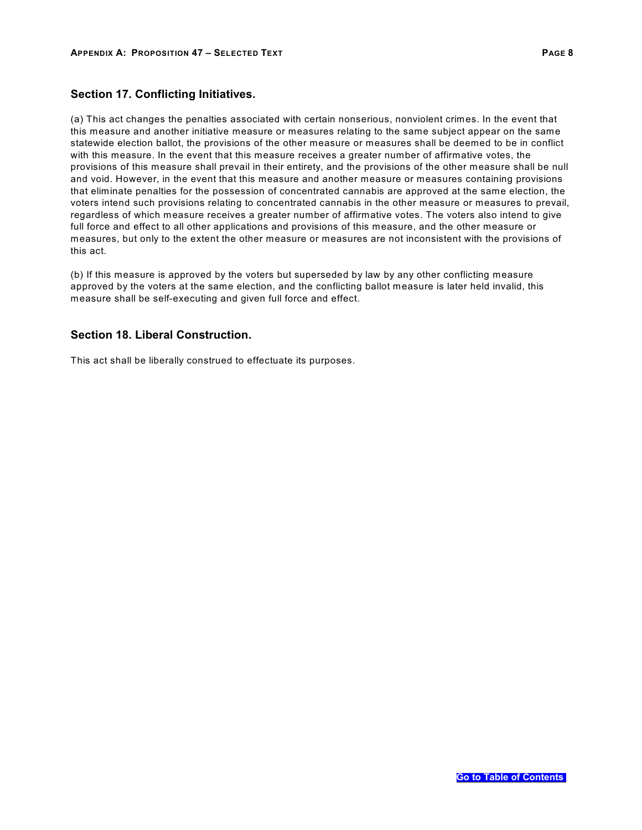### **Section 17. Conflicting Initiatives.**

(a) This act changes the penalties associated with certain nonserious, nonviolent crimes. In the event that this measure and another initiative measure or measures relating to the same subject appear on the same statewide election ballot, the provisions of the other measure or measures shall be deemed to be in conflict with this measure. In the event that this measure receives a greater number of affirmative votes, the provisions of this measure shall prevail in their entirety, and the provisions of the other measure shall be null and void. However, in the event that this measure and another measure or measures containing provisions that eliminate penalties for the possession of concentrated cannabis are approved at the same election, the voters intend such provisions relating to concentrated cannabis in the other measure or measures to prevail, regardless of which measure receives a greater number of affirmative votes. The voters also intend to give full force and effect to all other applications and provisions of this measure, and the other measure or measures, but only to the extent the other measure or measures are not inconsistent with the provisions of this act.

(b) If this measure is approved by the voters but superseded by law by any other conflicting measure approved by the voters at the same election, and the conflicting ballot measure is later held invalid, this measure shall be self-executing and given full force and effect.

#### **Section 18. Liberal Construction.**

This act shall be liberally construed to effectuate its purposes.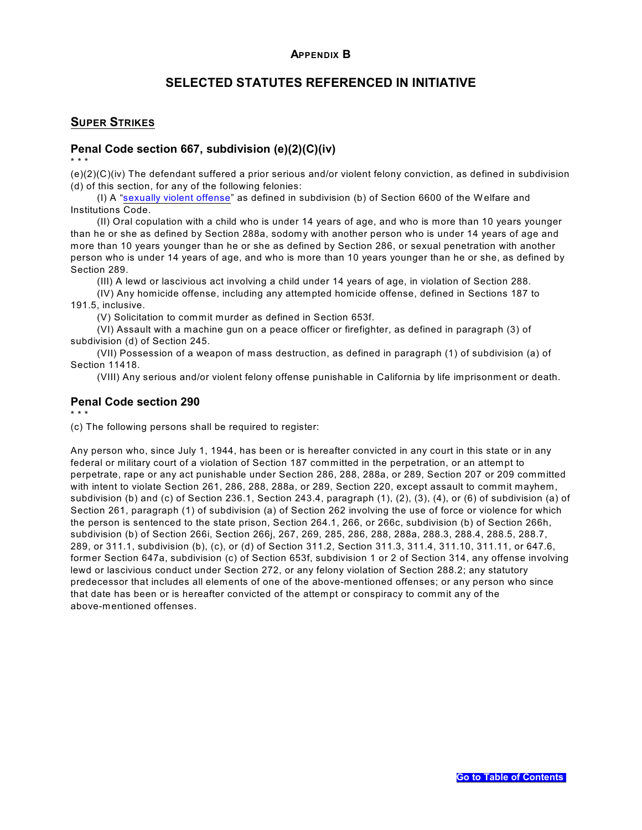# <span id="page-26-0"></span>**SELECTED STATUTES REFERENCED IN INITIATIVE**

### <span id="page-26-1"></span>**SUPER STRIKES**

#### <span id="page-26-2"></span>**Penal Code section 667, subdivision (e)(2)(C)(iv)**

\* \* \*

(e)(2)(C)(iv) The defendant suffered a prior serious and/or violent felony conviction, as defined in subdivision (d) of this section, for any of the following felonies:

(I) A ["sexually violent offense](#page-28-0)" as defined in subdivision (b) of Section 6600 of the Welfare and Institutions Code.

(II) Oral copulation with a child who is under 14 years of age, and who is more than 10 years younger than he or she as defined by Section 288a, sodomy with another person who is under 14 years of age and more than 10 years younger than he or she as defined by Section 286, or sexual penetration with another person who is under 14 years of age, and who is more than 10 years younger than he or she, as defined by Section 289.

(III) A lewd or lascivious act involving a child under 14 years of age, in violation of Section 288.

(IV) Any homicide offense, including any attempted homicide offense, defined in Sections 187 to 191.5, inclusive.

(V) Solicitation to commit murder as defined in Section 653f.

(VI) Assault with a machine gun on a peace officer or firefighter, as defined in paragraph (3) of subdivision (d) of Section 245.

(VII) Possession of a weapon of mass destruction, as defined in paragraph (1) of subdivision (a) of Section 11418.

(VIII) Any serious and/or violent felony offense punishable in California by life imprisonment or death.

### <span id="page-26-3"></span>**Penal Code section 290**

\* \* \*

(c) The following persons shall be required to register:

Any person who, since July 1, 1944, has been or is hereafter convicted in any court in this state or in any federal or military court of a violation of Section 187 committed in the perpetration, or an attempt to perpetrate, rape or any act punishable under Section 286, 288, 288a, or 289, Section 207 or 209 committed with intent to violate Section 261, 286, 288, 288a, or 289, Section 220, except assault to commit mayhem, subdivision (b) and (c) of Section 236.1, Section 243.4, paragraph (1), (2), (3), (4), or (6) of subdivision (a) of Section 261, paragraph (1) of subdivision (a) of Section 262 involving the use of force or violence for which the person is sentenced to the state prison, Section 264.1, 266, or 266c, subdivision (b) of Section 266h, subdivision (b) of Section 266i, Section 266j, 267, 269, 285, 286, 288, 288a, 288.3, 288.4, 288.5, 288.7, 289, or 311.1, subdivision (b), (c), or (d) of Section 311.2, Section 311.3, 311.4, 311.10, 311.11, or 647.6, former Section 647a, subdivision (c) of Section 653f, subdivision 1 or 2 of Section 314, any offense involving lewd or lascivious conduct under Section 272, or any felony violation of Section 288.2; any statutory predecessor that includes all elements of one of the above-mentioned offenses; or any person who since that date has been or is hereafter convicted of the attempt or conspiracy to commit any of the above-mentioned offenses.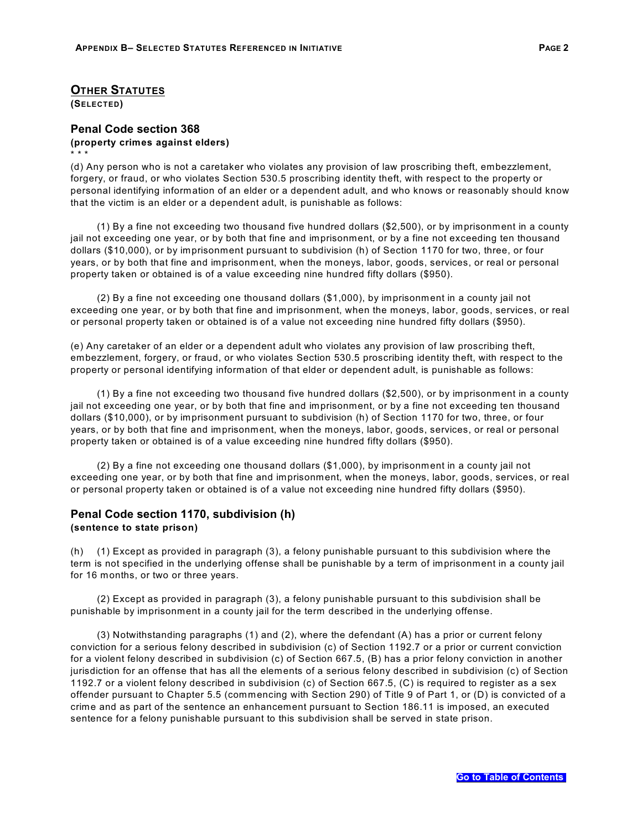#### **OTHER STATUTES**

**(SELECTED)**

\* \* \*

### <span id="page-27-0"></span>**Penal Code section 368 (property crimes against elders)**

(d) Any person who is not a caretaker who violates any provision of law proscribing theft, embezzlement, forgery, or fraud, or who violates Section 530.5 proscribing identity theft, with respect to the property or personal identifying information of an elder or a dependent adult, and who knows or reasonably should know that the victim is an elder or a dependent adult, is punishable as follows:

(1) By a fine not exceeding two thousand five hundred dollars (\$2,500), or by imprisonment in a county jail not exceeding one year, or by both that fine and imprisonment, or by a fine not exceeding ten thousand dollars (\$10,000), or by imprisonment pursuant to subdivision (h) of Section 1170 for two, three, or four years, or by both that fine and imprisonment, when the moneys, labor, goods, services, or real or personal property taken or obtained is of a value exceeding nine hundred fifty dollars (\$950).

(2) By a fine not exceeding one thousand dollars (\$1,000), by imprisonment in a county jail not exceeding one year, or by both that fine and imprisonment, when the moneys, labor, goods, services, or real or personal property taken or obtained is of a value not exceeding nine hundred fifty dollars (\$950).

(e) Any caretaker of an elder or a dependent adult who violates any provision of law proscribing theft, embezzlement, forgery, or fraud, or who violates Section 530.5 proscribing identity theft, with respect to the property or personal identifying information of that elder or dependent adult, is punishable as follows:

(1) By a fine not exceeding two thousand five hundred dollars (\$2,500), or by imprisonment in a county jail not exceeding one year, or by both that fine and imprisonment, or by a fine not exceeding ten thousand dollars (\$10,000), or by imprisonment pursuant to subdivision (h) of Section 1170 for two, three, or four years, or by both that fine and imprisonment, when the moneys, labor, goods, services, or real or personal property taken or obtained is of a value exceeding nine hundred fifty dollars (\$950).

(2) By a fine not exceeding one thousand dollars (\$1,000), by imprisonment in a county jail not exceeding one year, or by both that fine and imprisonment, when the moneys, labor, goods, services, or real or personal property taken or obtained is of a value not exceeding nine hundred fifty dollars (\$950).

#### <span id="page-27-1"></span>**Penal Code section 1170, subdivision (h) (sentence to state prison)**

(h) (1) Except as provided in paragraph (3), a felony punishable pursuant to this subdivision where the term is not specified in the underlying offense shall be punishable by a term of imprisonment in a county jail for 16 months, or two or three years.

(2) Except as provided in paragraph (3), a felony punishable pursuant to this subdivision shall be punishable by imprisonment in a county jail for the term described in the underlying offense.

(3) Notwithstanding paragraphs (1) and (2), where the defendant (A) has a prior or current felony conviction for a serious felony described in subdivision (c) of Section 1192.7 or a prior or current conviction for a violent felony described in subdivision (c) of Section 667.5, (B) has a prior felony conviction in another jurisdiction for an offense that has all the elements of a serious felony described in subdivision (c) of Section 1192.7 or a violent felony described in subdivision (c) of Section 667.5, (C) is required to register as a sex offender pursuant to Chapter 5.5 (commencing with Section 290) of Title 9 of Part 1, or (D) is convicted of a crime and as part of the sentence an enhancement pursuant to Section 186.11 is imposed, an executed sentence for a felony punishable pursuant to this subdivision shall be served in state prison.